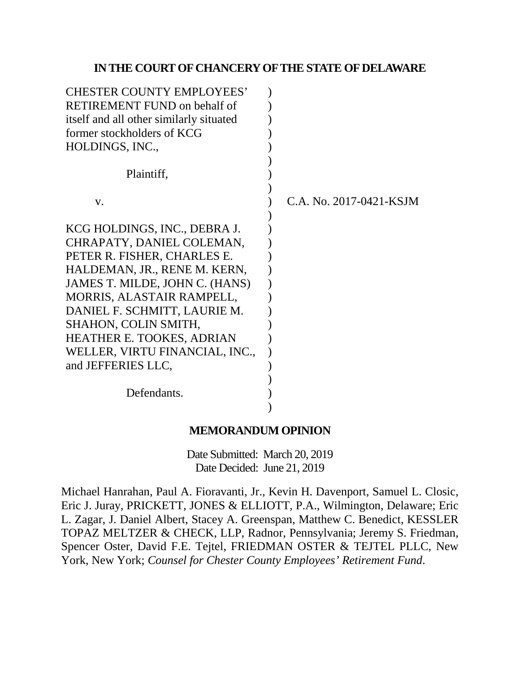## **IN THE COURT OF CHANCERY OF THE STATE OF DELAWARE**

| <b>CHESTER COUNTY EMPLOYEES'</b>        |                         |
|-----------------------------------------|-------------------------|
| <b>RETIREMENT FUND on behalf of</b>     |                         |
| itself and all other similarly situated |                         |
| former stockholders of KCG              |                         |
| HOLDINGS, INC.,                         |                         |
|                                         |                         |
| Plaintiff,                              |                         |
|                                         |                         |
| V.                                      | C.A. No. 2017-0421-KSJM |
|                                         |                         |
| KCG HOLDINGS, INC., DEBRA J.            |                         |
| CHRAPATY, DANIEL COLEMAN,               |                         |
| PETER R. FISHER, CHARLES E.             |                         |
| HALDEMAN, JR., RENE M. KERN,            |                         |
| JAMES T. MILDE, JOHN C. (HANS)          |                         |
| MORRIS, ALASTAIR RAMPELL,               |                         |
| DANIEL F. SCHMITT, LAURIE M.            |                         |
| SHAHON, COLIN SMITH,                    |                         |
| <b>HEATHER E. TOOKES, ADRIAN</b>        |                         |
| WELLER, VIRTU FINANCIAL, INC.,          |                         |
| and JEFFERIES LLC,                      |                         |
|                                         |                         |
| Defendants.                             |                         |
|                                         |                         |

## **MEMORANDUM OPINION**

Date Submitted: March 20, 2019 Date Decided: June 21, 2019

Michael Hanrahan, Paul A. Fioravanti, Jr., Kevin H. Davenport, Samuel L. Closic, Eric J. Juray, PRICKETT, JONES & ELLIOTT, P.A., Wilmington, Delaware; Eric L. Zagar, J. Daniel Albert, Stacey A. Greenspan, Matthew C. Benedict, KESSLER TOPAZ MELTZER & CHECK, LLP, Radnor, Pennsylvania; Jeremy S. Friedman, Spencer Oster, David F.E. Tejtel, FRIEDMAN OSTER & TEJTEL PLLC, New York, New York; *Counsel for Chester County Employees' Retirement Fund*.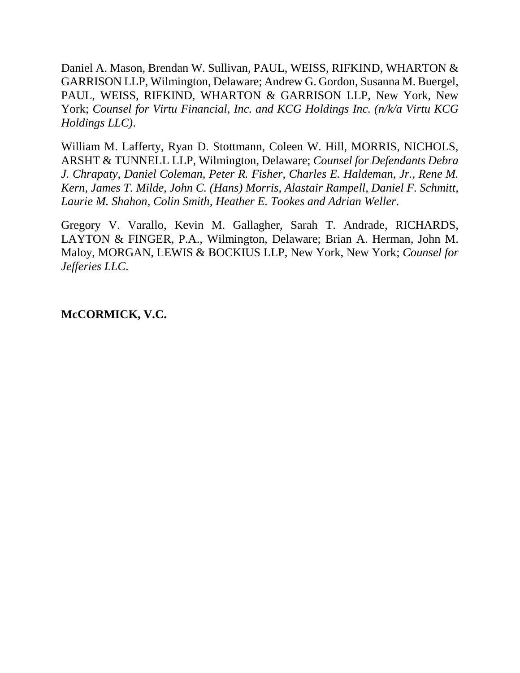Daniel A. Mason, Brendan W. Sullivan, PAUL, WEISS, RIFKIND, WHARTON & GARRISON LLP, Wilmington, Delaware; Andrew G. Gordon, Susanna M. Buergel, PAUL, WEISS, RIFKIND, WHARTON & GARRISON LLP, New York, New York; *Counsel for Virtu Financial, Inc. and KCG Holdings Inc. (n/k/a Virtu KCG Holdings LLC)*.

William M. Lafferty, Ryan D. Stottmann, Coleen W. Hill, MORRIS, NICHOLS, ARSHT & TUNNELL LLP, Wilmington, Delaware; *Counsel for Defendants Debra J. Chrapaty, Daniel Coleman, Peter R. Fisher, Charles E. Haldeman, Jr., Rene M. Kern, James T. Milde, John C. (Hans) Morris, Alastair Rampell, Daniel F. Schmitt, Laurie M. Shahon, Colin Smith, Heather E. Tookes and Adrian Weller*.

Gregory V. Varallo, Kevin M. Gallagher, Sarah T. Andrade, RICHARDS, LAYTON & FINGER, P.A., Wilmington, Delaware; Brian A. Herman, John M. Maloy, MORGAN, LEWIS & BOCKIUS LLP, New York, New York; *Counsel for Jefferies LLC*.

## **McCORMICK, V.C.**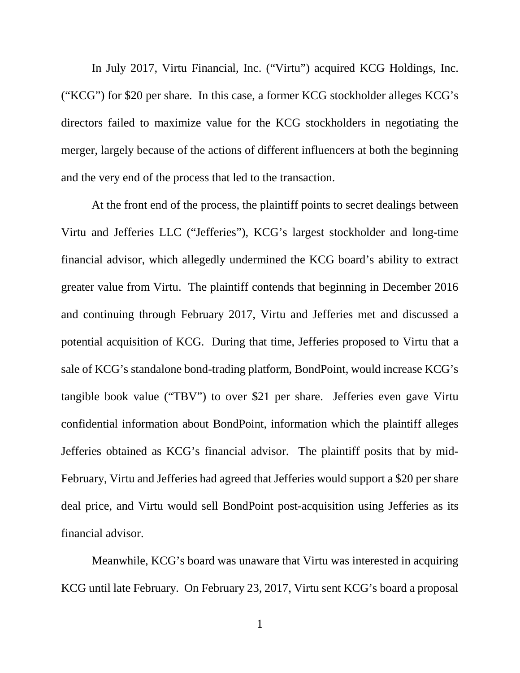In July 2017, Virtu Financial, Inc. ("Virtu") acquired KCG Holdings, Inc. ("KCG") for \$20 per share. In this case, a former KCG stockholder alleges KCG's directors failed to maximize value for the KCG stockholders in negotiating the merger, largely because of the actions of different influencers at both the beginning and the very end of the process that led to the transaction.

At the front end of the process, the plaintiff points to secret dealings between Virtu and Jefferies LLC ("Jefferies"), KCG's largest stockholder and long-time financial advisor, which allegedly undermined the KCG board's ability to extract greater value from Virtu. The plaintiff contends that beginning in December 2016 and continuing through February 2017, Virtu and Jefferies met and discussed a potential acquisition of KCG. During that time, Jefferies proposed to Virtu that a sale of KCG's standalone bond-trading platform, BondPoint, would increase KCG's tangible book value ("TBV") to over \$21 per share. Jefferies even gave Virtu confidential information about BondPoint, information which the plaintiff alleges Jefferies obtained as KCG's financial advisor. The plaintiff posits that by mid-February, Virtu and Jefferies had agreed that Jefferies would support a \$20 per share deal price, and Virtu would sell BondPoint post-acquisition using Jefferies as its financial advisor.

Meanwhile, KCG's board was unaware that Virtu was interested in acquiring KCG until late February. On February 23, 2017, Virtu sent KCG's board a proposal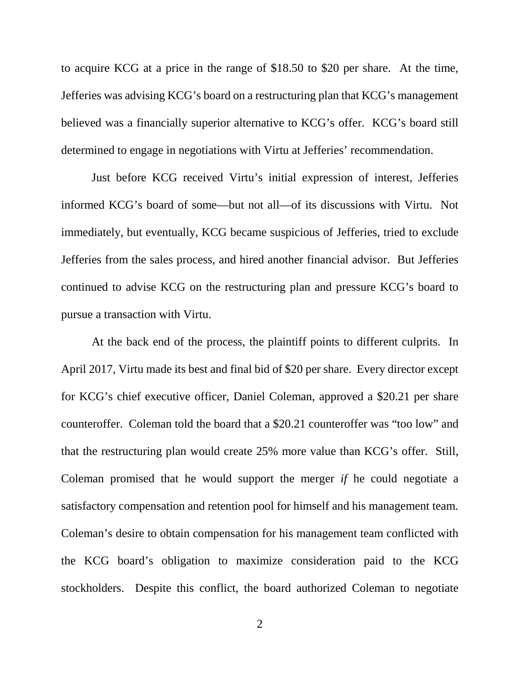to acquire KCG at a price in the range of \$18.50 to \$20 per share. At the time, Jefferies was advising KCG's board on a restructuring plan that KCG's management believed was a financially superior alternative to KCG's offer. KCG's board still determined to engage in negotiations with Virtu at Jefferies' recommendation.

Just before KCG received Virtu's initial expression of interest, Jefferies informed KCG's board of some—but not all—of its discussions with Virtu. Not immediately, but eventually, KCG became suspicious of Jefferies, tried to exclude Jefferies from the sales process, and hired another financial advisor. But Jefferies continued to advise KCG on the restructuring plan and pressure KCG's board to pursue a transaction with Virtu.

At the back end of the process, the plaintiff points to different culprits. In April 2017, Virtu made its best and final bid of \$20 per share. Every director except for KCG's chief executive officer, Daniel Coleman, approved a \$20.21 per share counteroffer. Coleman told the board that a \$20.21 counteroffer was "too low" and that the restructuring plan would create 25% more value than KCG's offer. Still, Coleman promised that he would support the merger *if* he could negotiate a satisfactory compensation and retention pool for himself and his management team. Coleman's desire to obtain compensation for his management team conflicted with the KCG board's obligation to maximize consideration paid to the KCG stockholders. Despite this conflict, the board authorized Coleman to negotiate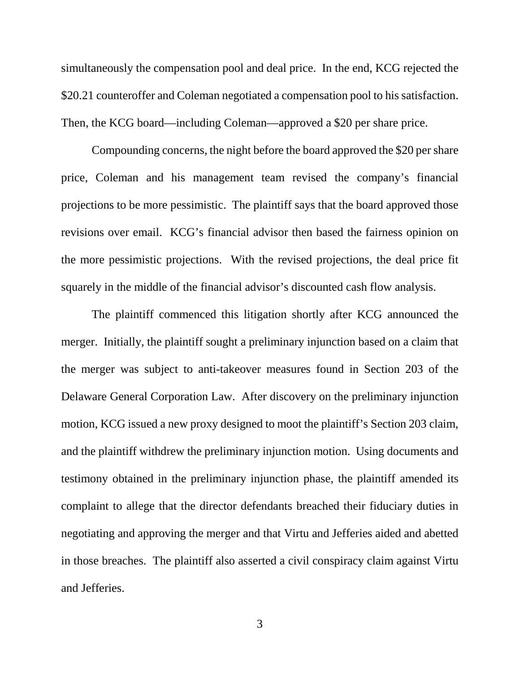simultaneously the compensation pool and deal price. In the end, KCG rejected the \$20.21 counteroffer and Coleman negotiated a compensation pool to his satisfaction. Then, the KCG board—including Coleman—approved a \$20 per share price.

Compounding concerns, the night before the board approved the \$20 per share price, Coleman and his management team revised the company's financial projections to be more pessimistic. The plaintiff says that the board approved those revisions over email. KCG's financial advisor then based the fairness opinion on the more pessimistic projections. With the revised projections, the deal price fit squarely in the middle of the financial advisor's discounted cash flow analysis.

The plaintiff commenced this litigation shortly after KCG announced the merger. Initially, the plaintiff sought a preliminary injunction based on a claim that the merger was subject to anti-takeover measures found in Section 203 of the Delaware General Corporation Law. After discovery on the preliminary injunction motion, KCG issued a new proxy designed to moot the plaintiff's Section 203 claim, and the plaintiff withdrew the preliminary injunction motion. Using documents and testimony obtained in the preliminary injunction phase, the plaintiff amended its complaint to allege that the director defendants breached their fiduciary duties in negotiating and approving the merger and that Virtu and Jefferies aided and abetted in those breaches. The plaintiff also asserted a civil conspiracy claim against Virtu and Jefferies.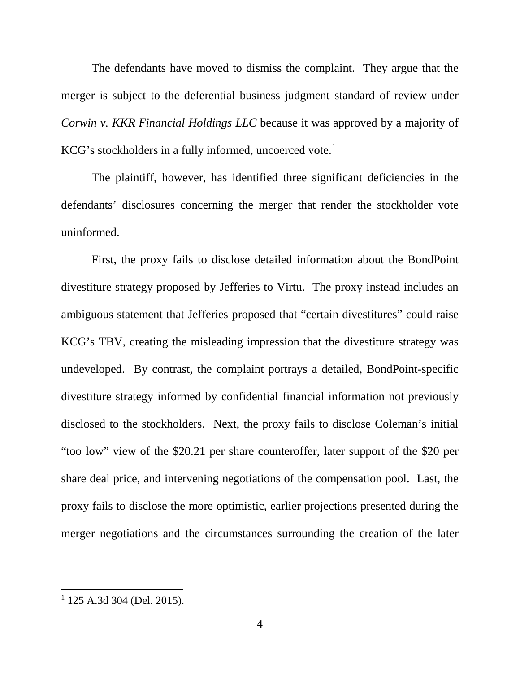The defendants have moved to dismiss the complaint. They argue that the merger is subject to the deferential business judgment standard of review under *Corwin v. KKR Financial Holdings LLC* because it was approved by a majority of KCG's stockholders in a fully informed, uncoerced vote.<sup>[1](#page-5-0)</sup>

The plaintiff, however, has identified three significant deficiencies in the defendants' disclosures concerning the merger that render the stockholder vote uninformed.

First, the proxy fails to disclose detailed information about the BondPoint divestiture strategy proposed by Jefferies to Virtu. The proxy instead includes an ambiguous statement that Jefferies proposed that "certain divestitures" could raise KCG's TBV, creating the misleading impression that the divestiture strategy was undeveloped. By contrast, the complaint portrays a detailed, BondPoint-specific divestiture strategy informed by confidential financial information not previously disclosed to the stockholders. Next, the proxy fails to disclose Coleman's initial "too low" view of the \$20.21 per share counteroffer, later support of the \$20 per share deal price, and intervening negotiations of the compensation pool. Last, the proxy fails to disclose the more optimistic, earlier projections presented during the merger negotiations and the circumstances surrounding the creation of the later

<span id="page-5-0"></span> <sup>1</sup> 125 A.3d 304 (Del. 2015).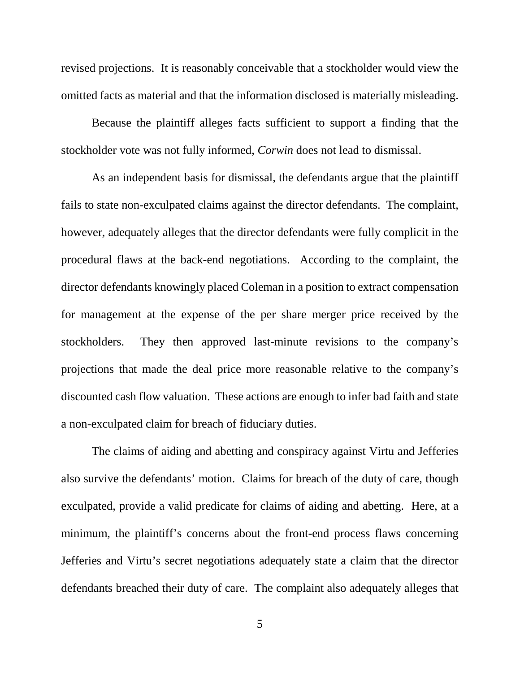revised projections. It is reasonably conceivable that a stockholder would view the omitted facts as material and that the information disclosed is materially misleading.

Because the plaintiff alleges facts sufficient to support a finding that the stockholder vote was not fully informed, *Corwin* does not lead to dismissal.

As an independent basis for dismissal, the defendants argue that the plaintiff fails to state non-exculpated claims against the director defendants. The complaint, however, adequately alleges that the director defendants were fully complicit in the procedural flaws at the back-end negotiations. According to the complaint, the director defendants knowingly placed Coleman in a position to extract compensation for management at the expense of the per share merger price received by the stockholders. They then approved last-minute revisions to the company's projections that made the deal price more reasonable relative to the company's discounted cash flow valuation. These actions are enough to infer bad faith and state a non-exculpated claim for breach of fiduciary duties.

The claims of aiding and abetting and conspiracy against Virtu and Jefferies also survive the defendants' motion. Claims for breach of the duty of care, though exculpated, provide a valid predicate for claims of aiding and abetting. Here, at a minimum, the plaintiff's concerns about the front-end process flaws concerning Jefferies and Virtu's secret negotiations adequately state a claim that the director defendants breached their duty of care. The complaint also adequately alleges that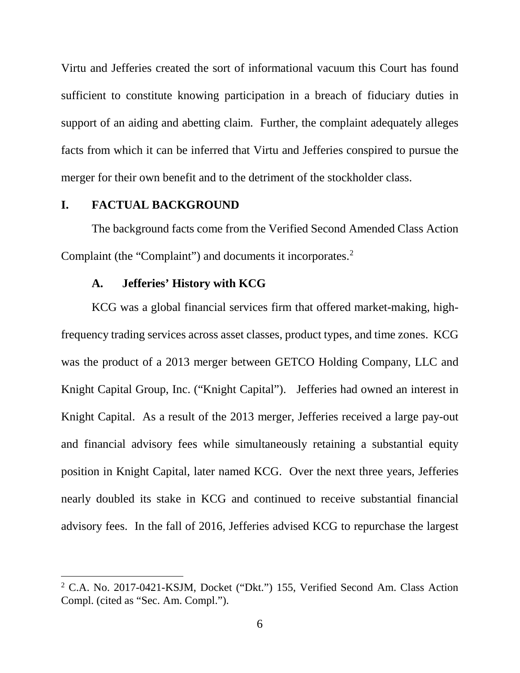Virtu and Jefferies created the sort of informational vacuum this Court has found sufficient to constitute knowing participation in a breach of fiduciary duties in support of an aiding and abetting claim. Further, the complaint adequately alleges facts from which it can be inferred that Virtu and Jefferies conspired to pursue the merger for their own benefit and to the detriment of the stockholder class.

### **I. FACTUAL BACKGROUND**

The background facts come from the Verified Second Amended Class Action Complaint (the "Complaint") and documents it incorporates. [2](#page-7-0)

#### **A. Jefferies' History with KCG**

KCG was a global financial services firm that offered market-making, highfrequency trading services across asset classes, product types, and time zones. KCG was the product of a 2013 merger between GETCO Holding Company, LLC and Knight Capital Group, Inc. ("Knight Capital"). Jefferies had owned an interest in Knight Capital. As a result of the 2013 merger, Jefferies received a large pay-out and financial advisory fees while simultaneously retaining a substantial equity position in Knight Capital, later named KCG. Over the next three years, Jefferies nearly doubled its stake in KCG and continued to receive substantial financial advisory fees. In the fall of 2016, Jefferies advised KCG to repurchase the largest

<span id="page-7-0"></span> <sup>2</sup> C.A. No. 2017-0421-KSJM, Docket ("Dkt.") 155, Verified Second Am. Class Action Compl. (cited as "Sec. Am. Compl.").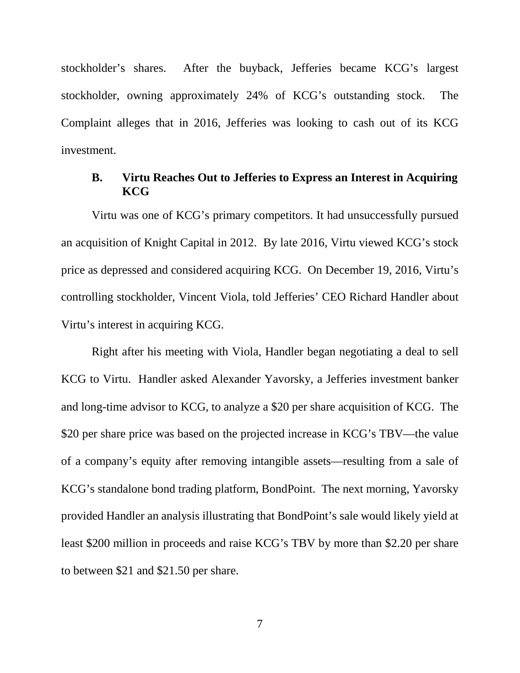stockholder's shares. After the buyback, Jefferies became KCG's largest stockholder, owning approximately 24% of KCG's outstanding stock. The Complaint alleges that in 2016, Jefferies was looking to cash out of its KCG investment.

## **B. Virtu Reaches Out to Jefferies to Express an Interest in Acquiring KCG**

Virtu was one of KCG's primary competitors. It had unsuccessfully pursued an acquisition of Knight Capital in 2012. By late 2016, Virtu viewed KCG's stock price as depressed and considered acquiring KCG. On December 19, 2016, Virtu's controlling stockholder, Vincent Viola, told Jefferies' CEO Richard Handler about Virtu's interest in acquiring KCG.

Right after his meeting with Viola, Handler began negotiating a deal to sell KCG to Virtu. Handler asked Alexander Yavorsky, a Jefferies investment banker and long-time advisor to KCG, to analyze a \$20 per share acquisition of KCG. The \$20 per share price was based on the projected increase in KCG's TBV—the value of a company's equity after removing intangible assets—resulting from a sale of KCG's standalone bond trading platform, BondPoint. The next morning, Yavorsky provided Handler an analysis illustrating that BondPoint's sale would likely yield at least \$200 million in proceeds and raise KCG's TBV by more than \$2.20 per share to between \$21 and \$21.50 per share.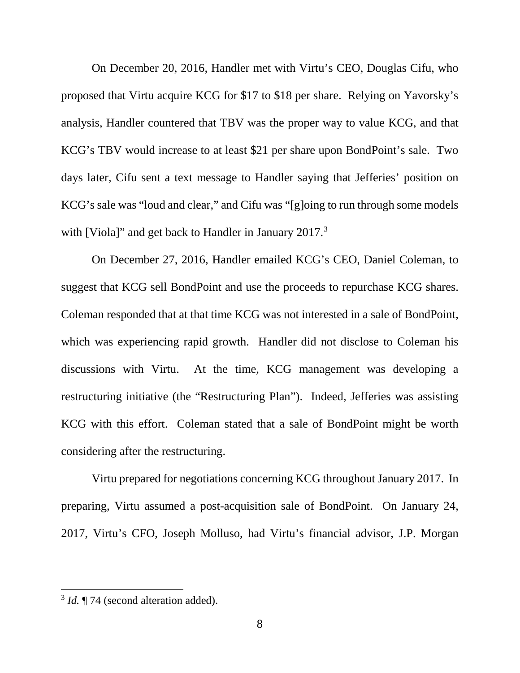On December 20, 2016, Handler met with Virtu's CEO, Douglas Cifu, who proposed that Virtu acquire KCG for \$17 to \$18 per share. Relying on Yavorsky's analysis, Handler countered that TBV was the proper way to value KCG, and that KCG's TBV would increase to at least \$21 per share upon BondPoint's sale. Two days later, Cifu sent a text message to Handler saying that Jefferies' position on KCG's sale was "loud and clear," and Cifu was "[g]oing to run through some models with [Viola]" and get back to Handler in January 2017.<sup>[3](#page-9-0)</sup>

On December 27, 2016, Handler emailed KCG's CEO, Daniel Coleman, to suggest that KCG sell BondPoint and use the proceeds to repurchase KCG shares. Coleman responded that at that time KCG was not interested in a sale of BondPoint, which was experiencing rapid growth. Handler did not disclose to Coleman his discussions with Virtu. At the time, KCG management was developing a restructuring initiative (the "Restructuring Plan"). Indeed, Jefferies was assisting KCG with this effort. Coleman stated that a sale of BondPoint might be worth considering after the restructuring.

Virtu prepared for negotiations concerning KCG throughout January 2017. In preparing, Virtu assumed a post-acquisition sale of BondPoint. On January 24, 2017, Virtu's CFO, Joseph Molluso, had Virtu's financial advisor, J.P. Morgan

<span id="page-9-0"></span><sup>&</sup>lt;sup>3</sup> *Id.* ¶ 74 (second alteration added).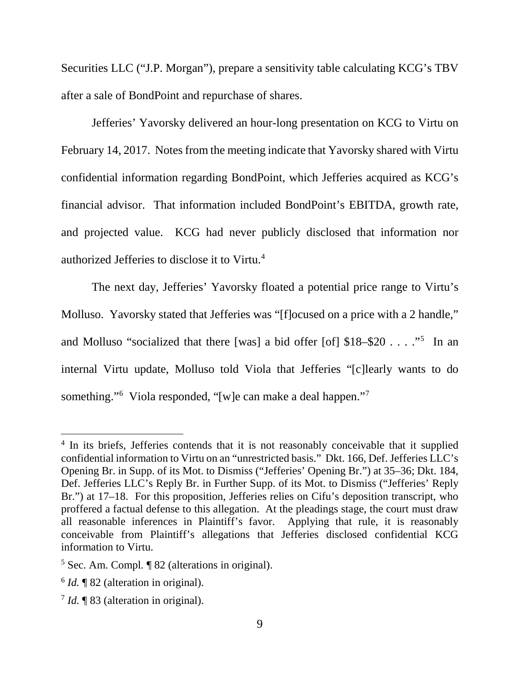Securities LLC ("J.P. Morgan"), prepare a sensitivity table calculating KCG's TBV after a sale of BondPoint and repurchase of shares.

Jefferies' Yavorsky delivered an hour-long presentation on KCG to Virtu on February 14, 2017. Notes from the meeting indicate that Yavorsky shared with Virtu confidential information regarding BondPoint, which Jefferies acquired as KCG's financial advisor. That information included BondPoint's EBITDA, growth rate, and projected value. KCG had never publicly disclosed that information nor authorized Jefferies to disclose it to Virtu.<sup>[4](#page-10-0)</sup>

The next day, Jefferies' Yavorsky floated a potential price range to Virtu's Molluso. Yavorsky stated that Jefferies was "[f]ocused on a price with a 2 handle," and Molluso "socialized that there [was] a bid offer [of]  $$18-$20...$  "<sup>[5](#page-10-1)</sup> In an internal Virtu update, Molluso told Viola that Jefferies "[c]learly wants to do something."<sup>[6](#page-10-2)</sup> Viola responded, "[w]e can make a deal happen."<sup>[7](#page-10-3)</sup>

<span id="page-10-0"></span><sup>&</sup>lt;sup>4</sup> In its briefs, Jefferies contends that it is not reasonably conceivable that it supplied confidential information to Virtu on an "unrestricted basis." Dkt. 166, Def. Jefferies LLC's Opening Br. in Supp. of its Mot. to Dismiss ("Jefferies' Opening Br.") at 35–36; Dkt. 184, Def. Jefferies LLC's Reply Br. in Further Supp. of its Mot. to Dismiss ("Jefferies' Reply Br.") at 17–18. For this proposition, Jefferies relies on Cifu's deposition transcript, who proffered a factual defense to this allegation. At the pleadings stage, the court must draw all reasonable inferences in Plaintiff's favor. Applying that rule, it is reasonably conceivable from Plaintiff's allegations that Jefferies disclosed confidential KCG information to Virtu.

<span id="page-10-1"></span><sup>5</sup> Sec. Am. Compl*.* ¶ 82 (alterations in original).

<span id="page-10-2"></span><sup>6</sup> *Id.* ¶ 82 (alteration in original).

<span id="page-10-3"></span><sup>7</sup> *Id.* ¶ 83 (alteration in original).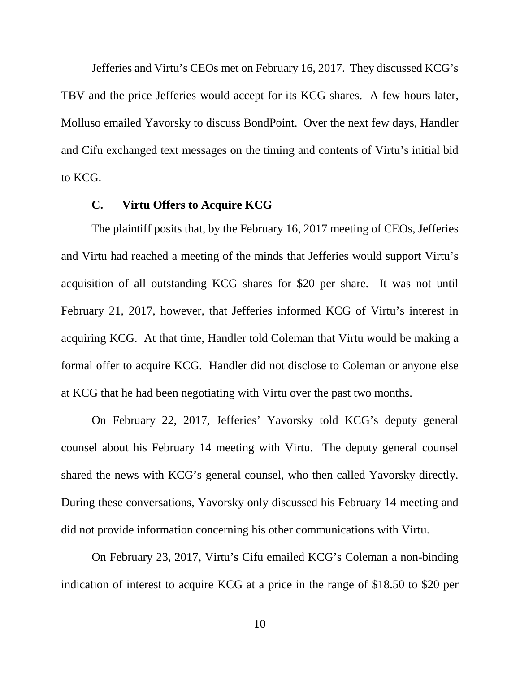Jefferies and Virtu's CEOs met on February 16, 2017. They discussed KCG's TBV and the price Jefferies would accept for its KCG shares. A few hours later, Molluso emailed Yavorsky to discuss BondPoint. Over the next few days, Handler and Cifu exchanged text messages on the timing and contents of Virtu's initial bid to KCG.

#### **C. Virtu Offers to Acquire KCG**

The plaintiff posits that, by the February 16, 2017 meeting of CEOs, Jefferies and Virtu had reached a meeting of the minds that Jefferies would support Virtu's acquisition of all outstanding KCG shares for \$20 per share. It was not until February 21, 2017, however, that Jefferies informed KCG of Virtu's interest in acquiring KCG. At that time, Handler told Coleman that Virtu would be making a formal offer to acquire KCG. Handler did not disclose to Coleman or anyone else at KCG that he had been negotiating with Virtu over the past two months.

On February 22, 2017, Jefferies' Yavorsky told KCG's deputy general counsel about his February 14 meeting with Virtu. The deputy general counsel shared the news with KCG's general counsel, who then called Yavorsky directly. During these conversations, Yavorsky only discussed his February 14 meeting and did not provide information concerning his other communications with Virtu.

On February 23, 2017, Virtu's Cifu emailed KCG's Coleman a non-binding indication of interest to acquire KCG at a price in the range of \$18.50 to \$20 per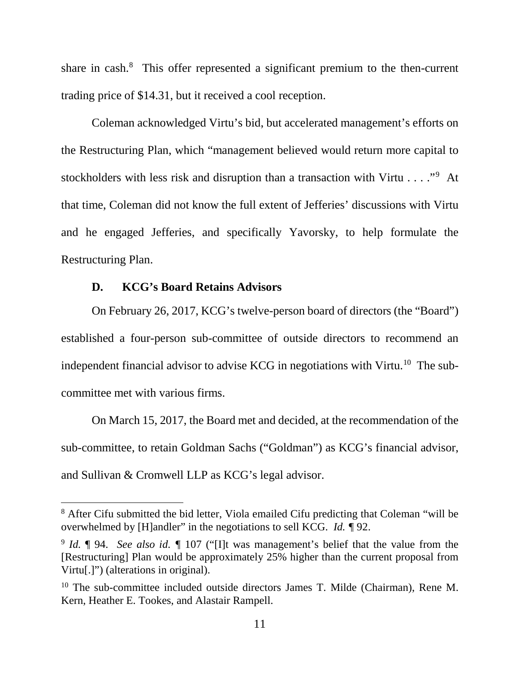share in cash. $8$  This offer represented a significant premium to the then-current trading price of \$14.31, but it received a cool reception.

Coleman acknowledged Virtu's bid, but accelerated management's efforts on the Restructuring Plan, which "management believed would return more capital to stockholders with less risk and disruption than a transaction with Virtu . . . . "<sup>[9](#page-12-1)</sup> At that time, Coleman did not know the full extent of Jefferies' discussions with Virtu and he engaged Jefferies, and specifically Yavorsky, to help formulate the Restructuring Plan.

# **D. KCG's Board Retains Advisors**

On February 26, 2017, KCG's twelve-person board of directors (the "Board") established a four-person sub-committee of outside directors to recommend an independent financial advisor to advise KCG in negotiations with Virtu.<sup>[10](#page-12-2)</sup> The subcommittee met with various firms.

On March 15, 2017, the Board met and decided, at the recommendation of the sub-committee, to retain Goldman Sachs ("Goldman") as KCG's financial advisor, and Sullivan & Cromwell LLP as KCG's legal advisor.

<span id="page-12-0"></span><sup>&</sup>lt;sup>8</sup> After Cifu submitted the bid letter, Viola emailed Cifu predicting that Coleman "will be overwhelmed by [H]andler" in the negotiations to sell KCG. *Id. ¶* 92.

<span id="page-12-1"></span><sup>9</sup> *Id.* ¶ 94. *See also id. ¶* 107 ("[I]t was management's belief that the value from the [Restructuring] Plan would be approximately 25% higher than the current proposal from Virtu[.]") (alterations in original).

<span id="page-12-2"></span><sup>&</sup>lt;sup>10</sup> The sub-committee included outside directors James T. Milde (Chairman), Rene M. Kern, Heather E. Tookes, and Alastair Rampell.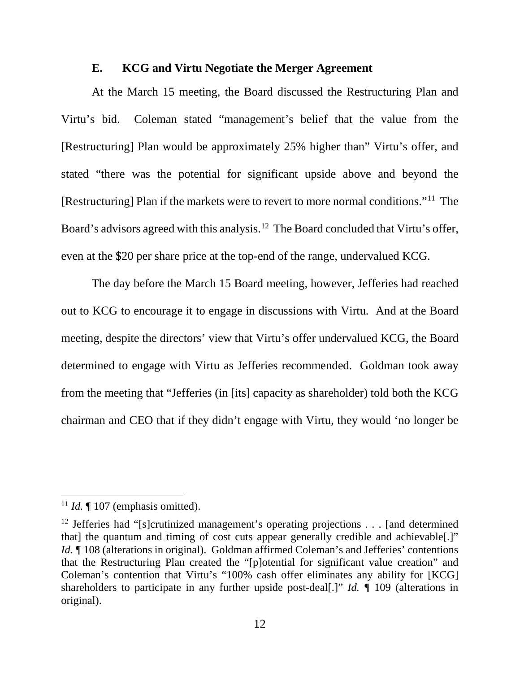#### **E. KCG and Virtu Negotiate the Merger Agreement**

At the March 15 meeting, the Board discussed the Restructuring Plan and Virtu's bid. Coleman stated "management's belief that the value from the [Restructuring] Plan would be approximately 25% higher than" Virtu's offer, and stated "there was the potential for significant upside above and beyond the [Restructuring] Plan if the markets were to revert to more normal conditions."[11](#page-13-0) The Board's advisors agreed with this analysis.<sup>12</sup> The Board concluded that Virtu's offer, even at the \$20 per share price at the top-end of the range, undervalued KCG.

The day before the March 15 Board meeting, however, Jefferies had reached out to KCG to encourage it to engage in discussions with Virtu. And at the Board meeting, despite the directors' view that Virtu's offer undervalued KCG, the Board determined to engage with Virtu as Jefferies recommended. Goldman took away from the meeting that "Jefferies (in [its] capacity as shareholder) told both the KCG chairman and CEO that if they didn't engage with Virtu, they would 'no longer be

<span id="page-13-0"></span> $11$  *Id.*  $\llbracket 107 \text{ (emphasis omitted)}$ .

<span id="page-13-1"></span><sup>&</sup>lt;sup>12</sup> Jefferies had "[s]crutinized management's operating projections . . . [and determined that] the quantum and timing of cost cuts appear generally credible and achievable[.]" *Id.*  $\parallel$  108 (alterations in original). Goldman affirmed Coleman's and Jefferies' contentions that the Restructuring Plan created the "[p]otential for significant value creation" and Coleman's contention that Virtu's "100% cash offer eliminates any ability for [KCG] shareholders to participate in any further upside post-deal[.]" *Id. ¶* 109 (alterations in original).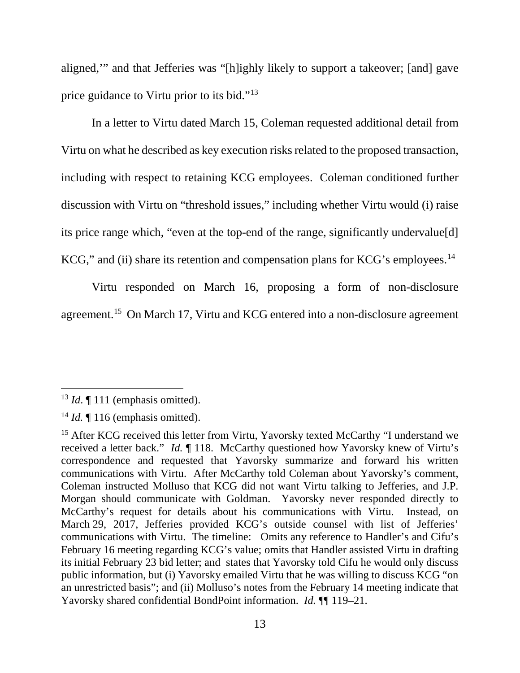aligned,'" and that Jefferies was "[h]ighly likely to support a takeover; [and] gave price guidance to Virtu prior to its bid."[13](#page-14-0)

In a letter to Virtu dated March 15, Coleman requested additional detail from Virtu on what he described as key execution risks related to the proposed transaction, including with respect to retaining KCG employees. Coleman conditioned further discussion with Virtu on "threshold issues," including whether Virtu would (i) raise its price range which, "even at the top-end of the range, significantly undervalue[d] KCG," and (ii) share its retention and compensation plans for KCG's employees.<sup>[14](#page-14-1)</sup>

Virtu responded on March 16, proposing a form of non-disclosure agreement.<sup>[15](#page-14-2)</sup> On March 17, Virtu and KCG entered into a non-disclosure agreement

<span id="page-14-0"></span><sup>&</sup>lt;sup>13</sup> *Id*. ¶ 111 (emphasis omitted).

<span id="page-14-1"></span> $14$  *Id.*  $\llbracket$  116 (emphasis omitted).

<span id="page-14-2"></span><sup>&</sup>lt;sup>15</sup> After KCG received this letter from Virtu, Yavorsky texted McCarthy "I understand we received a letter back." *Id.* ¶ 118. McCarthy questioned how Yavorsky knew of Virtu's correspondence and requested that Yavorsky summarize and forward his written communications with Virtu. After McCarthy told Coleman about Yavorsky's comment, Coleman instructed Molluso that KCG did not want Virtu talking to Jefferies, and J.P. Morgan should communicate with Goldman. Yavorsky never responded directly to McCarthy's request for details about his communications with Virtu. Instead, on March 29, 2017, Jefferies provided KCG's outside counsel with list of Jefferies' communications with Virtu. The timeline: Omits any reference to Handler's and Cifu's February 16 meeting regarding KCG's value; omits that Handler assisted Virtu in drafting its initial February 23 bid letter; and states that Yavorsky told Cifu he would only discuss public information, but (i) Yavorsky emailed Virtu that he was willing to discuss KCG "on an unrestricted basis"; and (ii) Molluso's notes from the February 14 meeting indicate that Yavorsky shared confidential BondPoint information. *Id.* ¶ 119–21.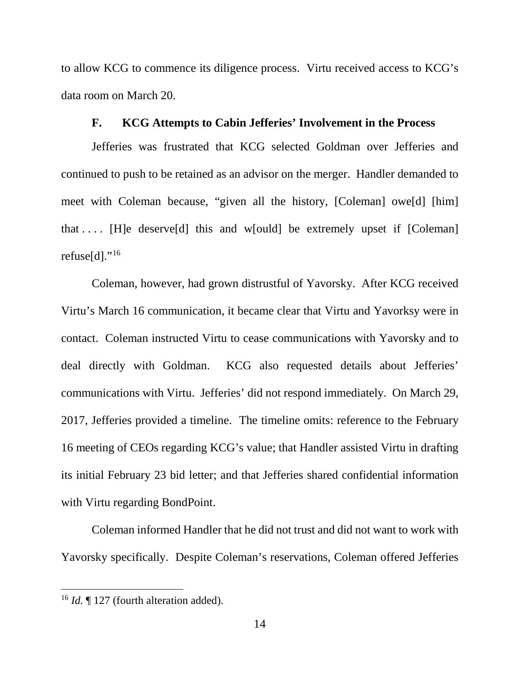to allow KCG to commence its diligence process. Virtu received access to KCG's data room on March 20.

#### **F. KCG Attempts to Cabin Jefferies' Involvement in the Process**

Jefferies was frustrated that KCG selected Goldman over Jefferies and continued to push to be retained as an advisor on the merger. Handler demanded to meet with Coleman because, "given all the history, [Coleman] owe[d] [him] that  $\dots$  [H]e deserves d] this and w[ould] be extremely upset if [Coleman] refuse[d]."<sup>[16](#page-15-0)</sup>

Coleman, however, had grown distrustful of Yavorsky. After KCG received Virtu's March 16 communication, it became clear that Virtu and Yavorksy were in contact. Coleman instructed Virtu to cease communications with Yavorsky and to deal directly with Goldman. KCG also requested details about Jefferies' communications with Virtu. Jefferies' did not respond immediately. On March 29, 2017, Jefferies provided a timeline. The timeline omits: reference to the February 16 meeting of CEOs regarding KCG's value; that Handler assisted Virtu in drafting its initial February 23 bid letter; and that Jefferies shared confidential information with Virtu regarding BondPoint.

Coleman informed Handler that he did not trust and did not want to work with Yavorsky specifically. Despite Coleman's reservations, Coleman offered Jefferies

<span id="page-15-0"></span><sup>&</sup>lt;sup>16</sup> *Id.* [127 (fourth alteration added).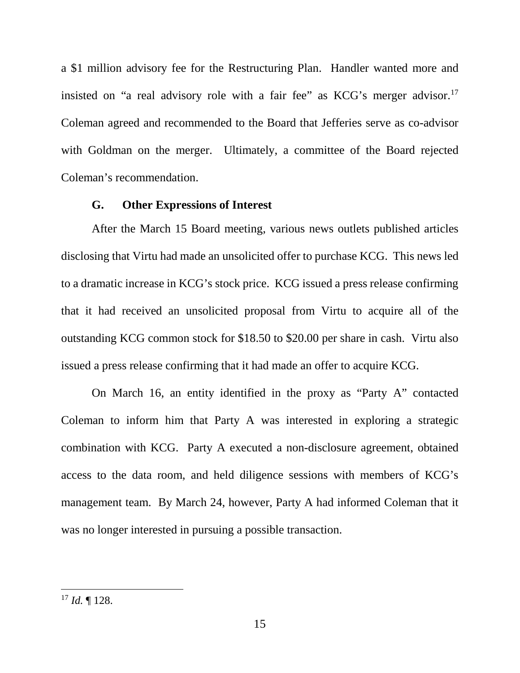a \$1 million advisory fee for the Restructuring Plan. Handler wanted more and insisted on "a real advisory role with a fair fee" as  $KCG$ 's merger advisor.<sup>[17](#page-16-0)</sup> Coleman agreed and recommended to the Board that Jefferies serve as co-advisor with Goldman on the merger. Ultimately, a committee of the Board rejected Coleman's recommendation.

#### **G. Other Expressions of Interest**

After the March 15 Board meeting, various news outlets published articles disclosing that Virtu had made an unsolicited offer to purchase KCG. This news led to a dramatic increase in KCG's stock price. KCG issued a press release confirming that it had received an unsolicited proposal from Virtu to acquire all of the outstanding KCG common stock for \$18.50 to \$20.00 per share in cash. Virtu also issued a press release confirming that it had made an offer to acquire KCG.

On March 16, an entity identified in the proxy as "Party A" contacted Coleman to inform him that Party A was interested in exploring a strategic combination with KCG. Party A executed a non-disclosure agreement, obtained access to the data room, and held diligence sessions with members of KCG's management team. By March 24, however, Party A had informed Coleman that it was no longer interested in pursuing a possible transaction.

<span id="page-16-0"></span> <sup>17</sup> *Id.* ¶ 128.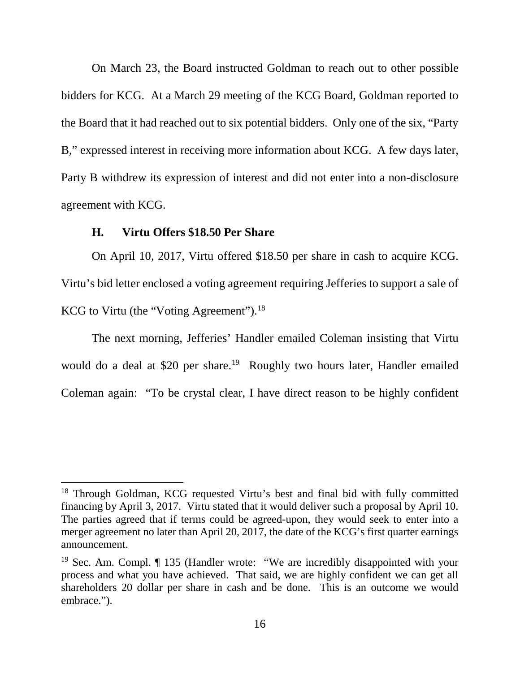On March 23, the Board instructed Goldman to reach out to other possible bidders for KCG. At a March 29 meeting of the KCG Board, Goldman reported to the Board that it had reached out to six potential bidders. Only one of the six, "Party B," expressed interest in receiving more information about KCG. A few days later, Party B withdrew its expression of interest and did not enter into a non-disclosure agreement with KCG.

#### **H. Virtu Offers \$18.50 Per Share**

On April 10, 2017, Virtu offered \$18.50 per share in cash to acquire KCG. Virtu's bid letter enclosed a voting agreement requiring Jefferies to support a sale of KCG to Virtu (the "Voting Agreement").<sup>18</sup>

The next morning, Jefferies' Handler emailed Coleman insisting that Virtu would do a deal at \$20 per share.<sup>[19](#page-17-1)</sup> Roughly two hours later, Handler emailed Coleman again: "To be crystal clear, I have direct reason to be highly confident

<span id="page-17-0"></span><sup>&</sup>lt;sup>18</sup> Through Goldman, KCG requested Virtu's best and final bid with fully committed financing by April 3, 2017. Virtu stated that it would deliver such a proposal by April 10. The parties agreed that if terms could be agreed-upon, they would seek to enter into a merger agreement no later than April 20, 2017, the date of the KCG's first quarter earnings announcement.

<span id="page-17-1"></span><sup>19</sup> Sec. Am. Compl. ¶ 135 (Handler wrote: "We are incredibly disappointed with your process and what you have achieved. That said, we are highly confident we can get all shareholders 20 dollar per share in cash and be done. This is an outcome we would embrace.").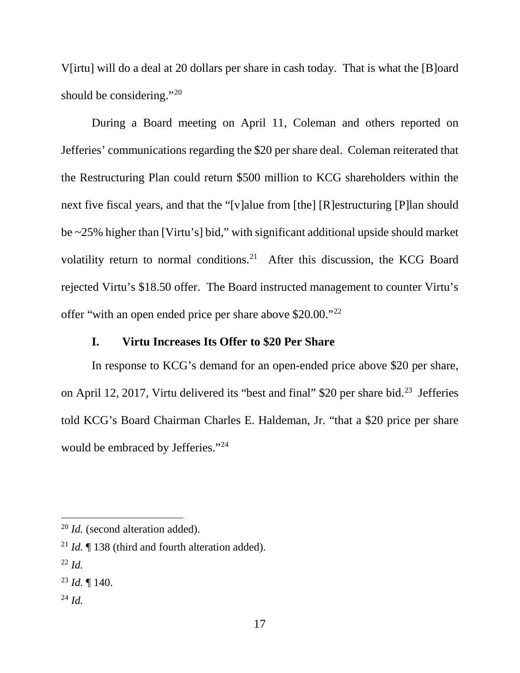V[irtu] will do a deal at 20 dollars per share in cash today. That is what the [B]oard should be considering."<sup>[20](#page-18-0)</sup>

During a Board meeting on April 11, Coleman and others reported on Jefferies' communications regarding the \$20 per share deal. Coleman reiterated that the Restructuring Plan could return \$500 million to KCG shareholders within the next five fiscal years, and that the "[v]alue from [the] [R]estructuring [P]lan should be ~25% higher than [Virtu's] bid," with significant additional upside should market volatility return to normal conditions.<sup>[21](#page-18-1)</sup> After this discussion, the KCG Board rejected Virtu's \$18.50 offer. The Board instructed management to counter Virtu's offer "with an open ended price per share above \$20.00."[22](#page-18-2)

## **I. Virtu Increases Its Offer to \$20 Per Share**

In response to KCG's demand for an open-ended price above \$20 per share, on April 12, 2017, Virtu delivered its "best and final" \$20 per share bid.<sup>23</sup> Jefferies told KCG's Board Chairman Charles E. Haldeman, Jr. "that a \$20 price per share would be embraced by Jefferies."<sup>[24](#page-18-4)</sup>

<span id="page-18-4"></span> $^{24}$  *Id.* 

<span id="page-18-0"></span> <sup>20</sup> *Id.* (second alteration added).

<span id="page-18-1"></span><sup>21</sup> *Id.* ¶ 138 (third and fourth alteration added).

<span id="page-18-2"></span> $^{22}$  *Id.* 

<span id="page-18-3"></span><sup>23</sup> *Id.* ¶ 140.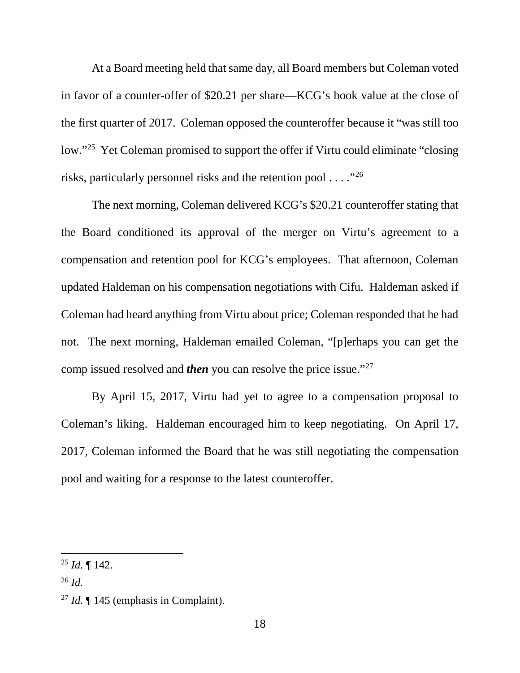At a Board meeting held that same day, all Board members but Coleman voted in favor of a counter-offer of \$20.21 per share—KCG's book value at the close of the first quarter of 2017. Coleman opposed the counteroffer because it "was still too low."[25](#page-19-0) Yet Coleman promised to support the offer if Virtu could eliminate "closing risks, particularly personnel risks and the retention pool  $\dots$  ."<sup>[26](#page-19-1)</sup>

The next morning, Coleman delivered KCG's \$20.21 counteroffer stating that the Board conditioned its approval of the merger on Virtu's agreement to a compensation and retention pool for KCG's employees. That afternoon, Coleman updated Haldeman on his compensation negotiations with Cifu. Haldeman asked if Coleman had heard anything from Virtu about price; Coleman responded that he had not. The next morning, Haldeman emailed Coleman, "[p]erhaps you can get the comp issued resolved and *then* you can resolve the price issue."[27](#page-19-2) 

By April 15, 2017, Virtu had yet to agree to a compensation proposal to Coleman's liking. Haldeman encouraged him to keep negotiating. On April 17, 2017, Coleman informed the Board that he was still negotiating the compensation pool and waiting for a response to the latest counteroffer.

<span id="page-19-0"></span> $^{25}$  *Id.*  $\blacksquare$  142.

<span id="page-19-1"></span><sup>26</sup> *Id.*

<span id="page-19-2"></span><sup>27</sup> *Id.* ¶ 145 (emphasis in Complaint).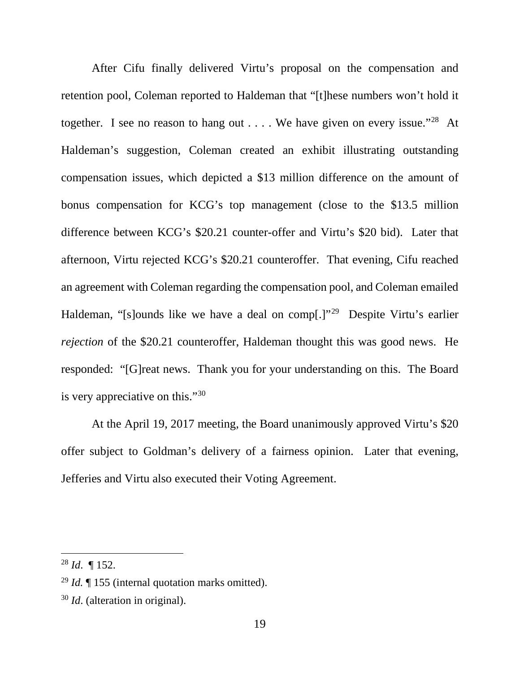After Cifu finally delivered Virtu's proposal on the compensation and retention pool, Coleman reported to Haldeman that "[t]hese numbers won't hold it together. I see no reason to hang out  $\dots$ . We have given on every issue."<sup>28</sup> At Haldeman's suggestion, Coleman created an exhibit illustrating outstanding compensation issues, which depicted a \$13 million difference on the amount of bonus compensation for KCG's top management (close to the \$13.5 million difference between KCG's \$20.21 counter-offer and Virtu's \$20 bid). Later that afternoon, Virtu rejected KCG's \$20.21 counteroffer. That evening, Cifu reached an agreement with Coleman regarding the compensation pool, and Coleman emailed Haldeman, "[s]ounds like we have a deal on comp[.]"<sup>[29](#page-20-1)</sup> Despite Virtu's earlier *rejection* of the \$20.21 counteroffer, Haldeman thought this was good news. He responded: "[G]reat news. Thank you for your understanding on this. The Board is very appreciative on this."[30](#page-20-2)

At the April 19, 2017 meeting, the Board unanimously approved Virtu's \$20 offer subject to Goldman's delivery of a fairness opinion. Later that evening, Jefferies and Virtu also executed their Voting Agreement.

<span id="page-20-0"></span> <sup>28</sup> *Id*. ¶ 152.

<span id="page-20-1"></span><sup>29</sup> *Id.* ¶ 155 (internal quotation marks omitted).

<span id="page-20-2"></span><sup>30</sup> *Id*. (alteration in original).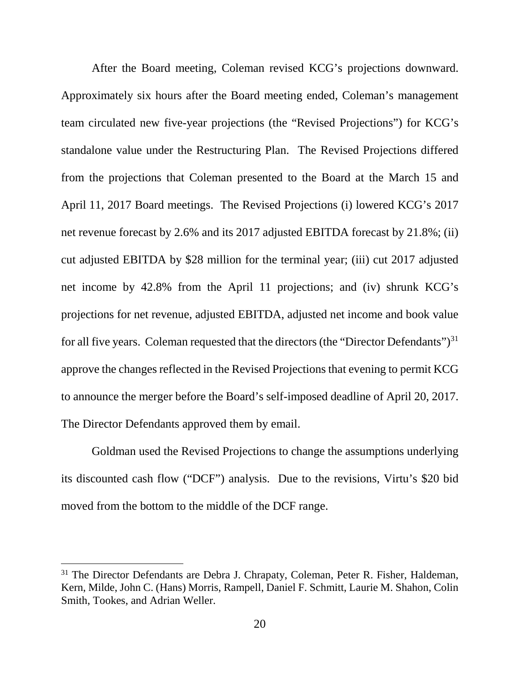After the Board meeting, Coleman revised KCG's projections downward. Approximately six hours after the Board meeting ended, Coleman's management team circulated new five-year projections (the "Revised Projections") for KCG's standalone value under the Restructuring Plan. The Revised Projections differed from the projections that Coleman presented to the Board at the March 15 and April 11, 2017 Board meetings. The Revised Projections (i) lowered KCG's 2017 net revenue forecast by 2.6% and its 2017 adjusted EBITDA forecast by 21.8%; (ii) cut adjusted EBITDA by \$28 million for the terminal year; (iii) cut 2017 adjusted net income by 42.8% from the April 11 projections; and (iv) shrunk KCG's projections for net revenue, adjusted EBITDA, adjusted net income and book value for all five years. Coleman requested that the directors (the "Director Defendants")<sup>[31](#page-21-0)</sup> approve the changes reflected in the Revised Projections that evening to permit KCG to announce the merger before the Board's self-imposed deadline of April 20, 2017. The Director Defendants approved them by email.

Goldman used the Revised Projections to change the assumptions underlying its discounted cash flow ("DCF") analysis. Due to the revisions, Virtu's \$20 bid moved from the bottom to the middle of the DCF range.

<span id="page-21-0"></span><sup>&</sup>lt;sup>31</sup> The Director Defendants are Debra J. Chrapaty, Coleman, Peter R. Fisher, Haldeman, Kern, Milde, John C. (Hans) Morris, Rampell, Daniel F. Schmitt, Laurie M. Shahon, Colin Smith, Tookes, and Adrian Weller.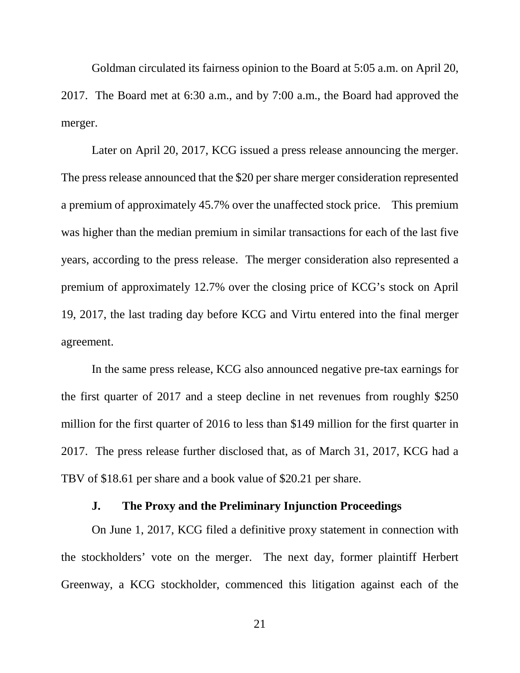Goldman circulated its fairness opinion to the Board at 5:05 a.m. on April 20, 2017. The Board met at 6:30 a.m., and by 7:00 a.m., the Board had approved the merger.

Later on April 20, 2017, KCG issued a press release announcing the merger. The press release announced that the \$20 per share merger consideration represented a premium of approximately 45.7% over the unaffected stock price. This premium was higher than the median premium in similar transactions for each of the last five years, according to the press release. The merger consideration also represented a premium of approximately 12.7% over the closing price of KCG's stock on April 19, 2017, the last trading day before KCG and Virtu entered into the final merger agreement.

In the same press release, KCG also announced negative pre-tax earnings for the first quarter of 2017 and a steep decline in net revenues from roughly \$250 million for the first quarter of 2016 to less than \$149 million for the first quarter in 2017. The press release further disclosed that, as of March 31, 2017, KCG had a TBV of \$18.61 per share and a book value of \$20.21 per share.

### **J. The Proxy and the Preliminary Injunction Proceedings**

On June 1, 2017, KCG filed a definitive proxy statement in connection with the stockholders' vote on the merger. The next day, former plaintiff Herbert Greenway, a KCG stockholder, commenced this litigation against each of the

21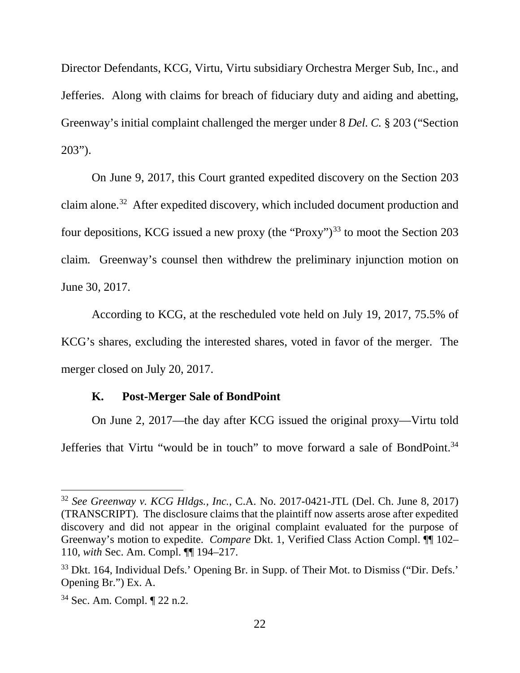Director Defendants, KCG, Virtu, Virtu subsidiary Orchestra Merger Sub, Inc., and Jefferies. Along with claims for breach of fiduciary duty and aiding and abetting, Greenway's initial complaint challenged the merger under 8 *Del. C.* § 203 ("Section 203").

On June 9, 2017, this Court granted expedited discovery on the Section 203 claim alone. [32](#page-23-0) After expedited discovery, which included document production and four depositions, KCG issued a new proxy (the "Proxy")<sup>[33](#page-23-1)</sup> to moot the Section 203 claim. Greenway's counsel then withdrew the preliminary injunction motion on June 30, 2017.

According to KCG, at the rescheduled vote held on July 19, 2017, 75.5% of KCG's shares, excluding the interested shares, voted in favor of the merger. The merger closed on July 20, 2017.

### **K. Post-Merger Sale of BondPoint**

On June 2, 2017—the day after KCG issued the original proxy—Virtu told Jefferies that Virtu "would be in touch" to move forward a sale of BondPoint.[34](#page-23-2)

<span id="page-23-0"></span> <sup>32</sup> *See Greenway v. KCG Hldgs., Inc.*, C.A. No. 2017-0421-JTL (Del. Ch. June 8, 2017) (TRANSCRIPT). The disclosure claims that the plaintiff now asserts arose after expedited discovery and did not appear in the original complaint evaluated for the purpose of Greenway's motion to expedite. *Compare* Dkt. 1, Verified Class Action Compl. ¶¶ 102– 110, *with* Sec. Am. Compl. ¶¶ 194–217.

<span id="page-23-1"></span><sup>&</sup>lt;sup>33</sup> Dkt. 164, Individual Defs.' Opening Br. in Supp. of Their Mot. to Dismiss ("Dir. Defs.' Opening Br.") Ex. A.

<span id="page-23-2"></span><sup>34</sup> Sec. Am. Compl. ¶ 22 n.2.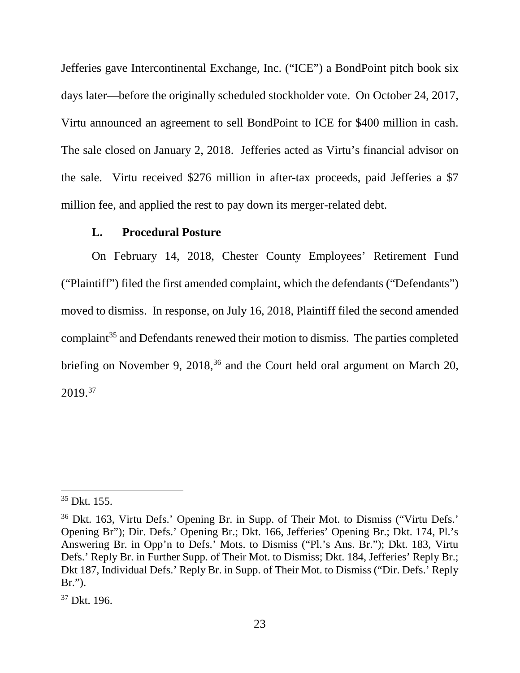Jefferies gave Intercontinental Exchange, Inc. ("ICE") a BondPoint pitch book six days later—before the originally scheduled stockholder vote. On October 24, 2017, Virtu announced an agreement to sell BondPoint to ICE for \$400 million in cash. The sale closed on January 2, 2018. Jefferies acted as Virtu's financial advisor on the sale. Virtu received \$276 million in after-tax proceeds, paid Jefferies a \$7 million fee, and applied the rest to pay down its merger-related debt.

#### **L. Procedural Posture**

On February 14, 2018, Chester County Employees' Retirement Fund ("Plaintiff") filed the first amended complaint, which the defendants ("Defendants") moved to dismiss. In response, on July 16, 2018, Plaintiff filed the second amended complaint<sup>[35](#page-24-0)</sup> and Defendants renewed their motion to dismiss. The parties completed briefing on November 9, 2018, $36$  and the Court held oral argument on March 20, 2019. [37](#page-24-2)

<span id="page-24-0"></span> $35$  Dkt. 155.

<span id="page-24-1"></span><sup>36</sup> Dkt. 163, Virtu Defs.' Opening Br. in Supp. of Their Mot. to Dismiss ("Virtu Defs.' Opening Br"); Dir. Defs.' Opening Br.; Dkt. 166, Jefferies' Opening Br.; Dkt. 174, Pl.'s Answering Br. in Opp'n to Defs.' Mots. to Dismiss ("Pl.'s Ans. Br."); Dkt. 183, Virtu Defs.' Reply Br. in Further Supp. of Their Mot. to Dismiss; Dkt. 184, Jefferies' Reply Br.; Dkt 187, Individual Defs.' Reply Br. in Supp. of Their Mot. to Dismiss ("Dir. Defs.' Reply Br.").

<span id="page-24-2"></span><sup>37</sup> Dkt. 196.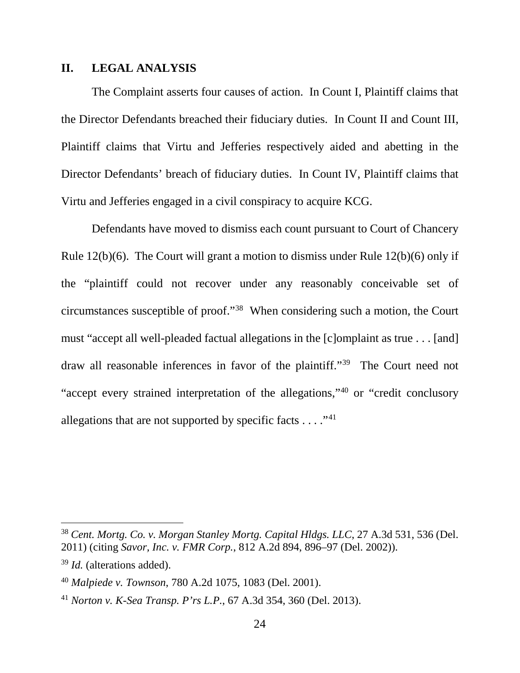#### **II. LEGAL ANALYSIS**

The Complaint asserts four causes of action. In Count I, Plaintiff claims that the Director Defendants breached their fiduciary duties. In Count II and Count III, Plaintiff claims that Virtu and Jefferies respectively aided and abetting in the Director Defendants' breach of fiduciary duties. In Count IV, Plaintiff claims that Virtu and Jefferies engaged in a civil conspiracy to acquire KCG.

Defendants have moved to dismiss each count pursuant to Court of Chancery Rule 12(b)(6). The Court will grant a motion to dismiss under Rule 12(b)(6) only if the "plaintiff could not recover under any reasonably conceivable set of circumstances susceptible of proof."[38](#page-25-0) When considering such a motion, the Court must "accept all well-pleaded factual allegations in the [c]omplaint as true . . . [and] draw all reasonable inferences in favor of the plaintiff."[39](#page-25-1) The Court need not "accept every strained interpretation of the allegations,"[40](#page-25-2) or "credit conclusory allegations that are not supported by specific facts  $\dots$ ."<sup>[41](#page-25-3)</sup>

<span id="page-25-0"></span> <sup>38</sup> *Cent. Mortg. Co. v. Morgan Stanley Mortg. Capital Hldgs. LLC*, 27 A.3d 531, 536 (Del. 2011) (citing *Savor, Inc. v. FMR Corp.*, 812 A.2d 894, 896–97 (Del. 2002)).

<span id="page-25-1"></span><sup>39</sup> *Id.* (alterations added).

<span id="page-25-2"></span><sup>40</sup> *Malpiede v. Townson*, 780 A.2d 1075, 1083 (Del. 2001).

<span id="page-25-3"></span><sup>41</sup> *Norton v. K-Sea Transp. P'rs L.P.*, 67 A.3d 354, 360 (Del. 2013).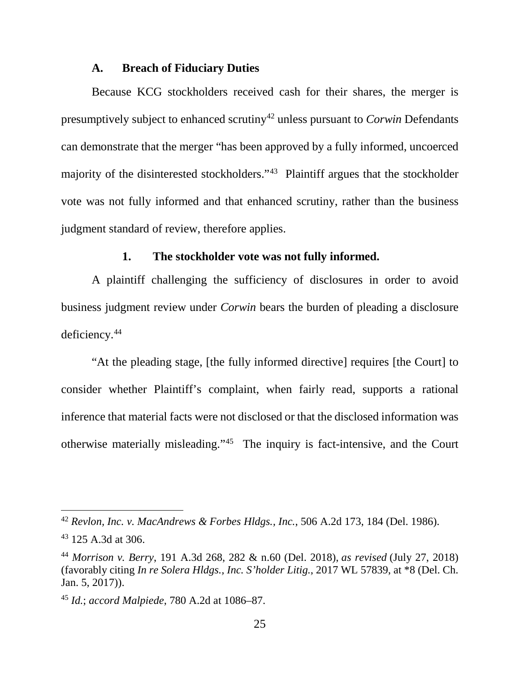#### **A. Breach of Fiduciary Duties**

Because KCG stockholders received cash for their shares, the merger is presumptively subject to enhanced scrutin[y42](#page-26-0) unless pursuant to *Corwin* Defendants can demonstrate that the merger "has been approved by a fully informed, uncoerced majority of the disinterested stockholders."[43](#page-26-1) Plaintiff argues that the stockholder vote was not fully informed and that enhanced scrutiny, rather than the business judgment standard of review, therefore applies.

### **1. The stockholder vote was not fully informed.**

A plaintiff challenging the sufficiency of disclosures in order to avoid business judgment review under *Corwin* bears the burden of pleading a disclosure deficiency.[44](#page-26-2)

"At the pleading stage, [the fully informed directive] requires [the Court] to consider whether Plaintiff's complaint, when fairly read, supports a rational inference that material facts were not disclosed or that the disclosed information was otherwise materially misleading."[45](#page-26-3) The inquiry is fact-intensive, and the Court

<span id="page-26-0"></span> <sup>42</sup> *Revlon, Inc. v. MacAndrews & Forbes Hldgs., Inc.*, 506 A.2d 173, 184 (Del. 1986).

<span id="page-26-1"></span><sup>43</sup> 125 A.3d at 306.

<span id="page-26-2"></span><sup>44</sup> *Morrison v. Berry*, 191 A.3d 268, 282 & n.60 (Del. 2018), *as revised* (July 27, 2018) (favorably citing *In re Solera Hldgs., Inc. S'holder Litig.*, 2017 WL 57839, at \*8 (Del. Ch. Jan. 5, 2017)).

<span id="page-26-3"></span><sup>45</sup> *Id.*; *accord Malpiede*, 780 A.2d at 1086–87.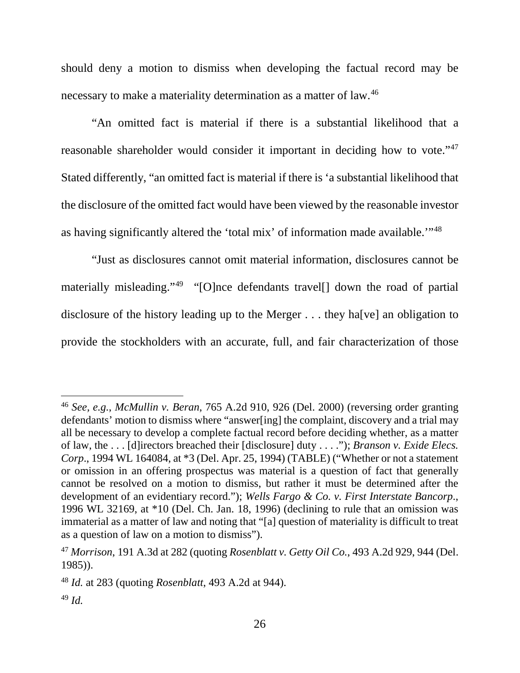should deny a motion to dismiss when developing the factual record may be necessary to make a materiality determination as a matter of law.<sup>[46](#page-27-0)</sup>

"An omitted fact is material if there is a substantial likelihood that a reasonable shareholder would consider it important in deciding how to vote."<sup>[47](#page-27-1)</sup> Stated differently, "an omitted fact is material if there is 'a substantial likelihood that the disclosure of the omitted fact would have been viewed by the reasonable investor as having significantly altered the 'total mix' of information made available.'"[48](#page-27-2)

"Just as disclosures cannot omit material information, disclosures cannot be materially misleading."<sup>49</sup> "[O]nce defendants travel[] down the road of partial disclosure of the history leading up to the Merger . . . they ha[ve] an obligation to provide the stockholders with an accurate, full, and fair characterization of those

<span id="page-27-0"></span> <sup>46</sup> *See, e.g.*, *McMullin v. Beran*, 765 A.2d 910, 926 (Del. 2000) (reversing order granting defendants' motion to dismiss where "answer[ing] the complaint, discovery and a trial may all be necessary to develop a complete factual record before deciding whether, as a matter of law, the . . . [d]irectors breached their [disclosure] duty . . . ."); *Branson v. Exide Elecs. Corp*., 1994 WL 164084, at \*3 (Del. Apr. 25, 1994) (TABLE) ("Whether or not a statement or omission in an offering prospectus was material is a question of fact that generally cannot be resolved on a motion to dismiss, but rather it must be determined after the development of an evidentiary record."); *Wells Fargo & Co. v. First Interstate Bancorp*., 1996 WL 32169, at \*10 (Del. Ch. Jan. 18, 1996) (declining to rule that an omission was immaterial as a matter of law and noting that "[a] question of materiality is difficult to treat as a question of law on a motion to dismiss").

<span id="page-27-1"></span><sup>47</sup> *Morrison*, 191 A.3d at 282 (quoting *Rosenblatt v. Getty Oil Co.*, 493 A.2d 929, 944 (Del. 1985)).

<span id="page-27-2"></span><sup>48</sup> *Id.* at 283 (quoting *Rosenblatt*, 493 A.2d at 944).

<span id="page-27-3"></span><sup>49</sup> *Id.*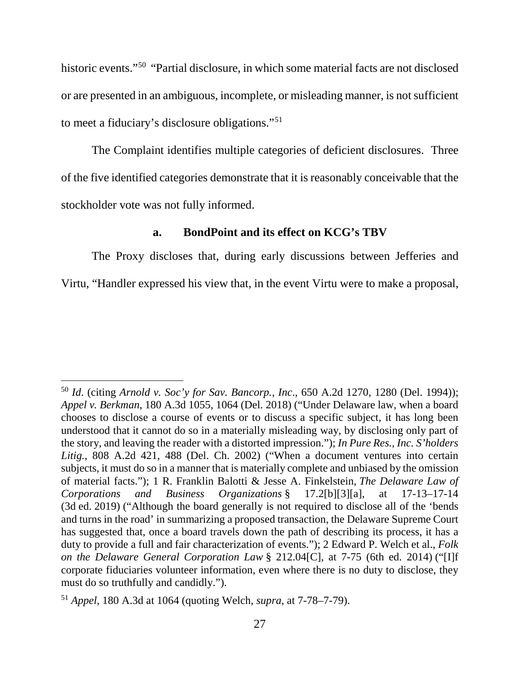historic events."<sup>50</sup> "Partial disclosure, in which some material facts are not disclosed or are presented in an ambiguous, incomplete, or misleading manner, is not sufficient to meet a fiduciary's disclosure obligations."[51](#page-28-1)

The Complaint identifies multiple categories of deficient disclosures. Three of the five identified categories demonstrate that it is reasonably conceivable that the stockholder vote was not fully informed.

### **a. BondPoint and its effect on KCG's TBV**

The Proxy discloses that, during early discussions between Jefferies and Virtu, "Handler expressed his view that, in the event Virtu were to make a proposal,

<span id="page-28-0"></span> <sup>50</sup> *Id*. (citing *Arnold v. Soc'y for Sav. Bancorp., Inc*., 650 A.2d 1270, 1280 (Del. 1994)); *Appel v. Berkman*, 180 A.3d 1055, 1064 (Del. 2018) ("Under Delaware law, when a board chooses to disclose a course of events or to discuss a specific subject, it has long been understood that it cannot do so in a materially misleading way, by disclosing only part of the story, and leaving the reader with a distorted impression."); *In Pure Res., Inc. S'holders Litig.*, 808 A.2d 421, 488 (Del. Ch. 2002) ("When a document ventures into certain subjects, it must do so in a manner that is materially complete and unbiased by the omission of material facts."); 1 R. Franklin Balotti & Jesse A. Finkelstein, *The Delaware Law of Corporations and Business Organizations* § 17.2[b][3][a], at 17-13–17-14 (3d ed. 2019) ("Although the board generally is not required to disclose all of the 'bends and turns in the road' in summarizing a proposed transaction, the Delaware Supreme Court has suggested that, once a board travels down the path of describing its process, it has a duty to provide a full and fair characterization of events."); 2 Edward P. Welch et al., *Folk on the Delaware General Corporation Law* § 212.04[C], at 7-75 (6th ed. 2014) ("[I]f corporate fiduciaries volunteer information, even where there is no duty to disclose, they must do so truthfully and candidly.").

<span id="page-28-1"></span><sup>51</sup> *Appel*, 180 A.3d at 1064 (quoting Welch, *supra*, at 7-78–7-79).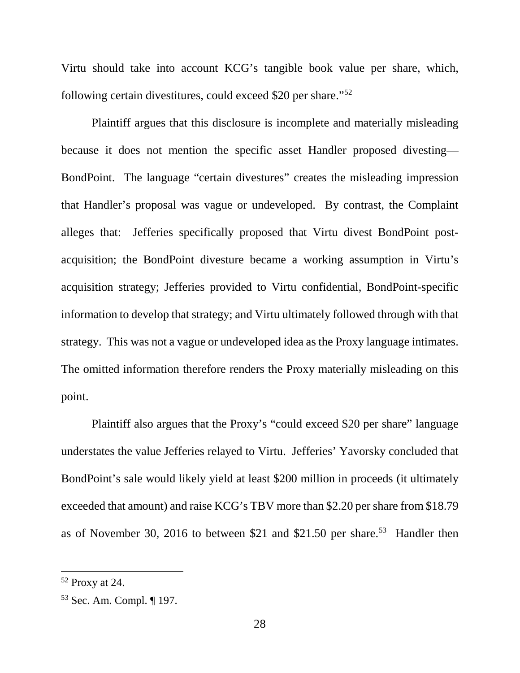Virtu should take into account KCG's tangible book value per share, which, following certain divestitures, could exceed \$20 per share."[52](#page-29-0)

Plaintiff argues that this disclosure is incomplete and materially misleading because it does not mention the specific asset Handler proposed divesting— BondPoint. The language "certain divestures" creates the misleading impression that Handler's proposal was vague or undeveloped. By contrast, the Complaint alleges that: Jefferies specifically proposed that Virtu divest BondPoint postacquisition; the BondPoint divesture became a working assumption in Virtu's acquisition strategy; Jefferies provided to Virtu confidential, BondPoint-specific information to develop that strategy; and Virtu ultimately followed through with that strategy. This was not a vague or undeveloped idea as the Proxy language intimates. The omitted information therefore renders the Proxy materially misleading on this point.

Plaintiff also argues that the Proxy's "could exceed \$20 per share" language understates the value Jefferies relayed to Virtu. Jefferies' Yavorsky concluded that BondPoint's sale would likely yield at least \$200 million in proceeds (it ultimately exceeded that amount) and raise KCG's TBV more than \$2.20 per share from \$18.79 as of November 30, 2016 to between \$21 and \$21.50 per share.<sup>[53](#page-29-1)</sup> Handler then

<span id="page-29-0"></span> <sup>52</sup> Proxy at 24.

<span id="page-29-1"></span><sup>53</sup> Sec. Am. Compl. ¶ 197.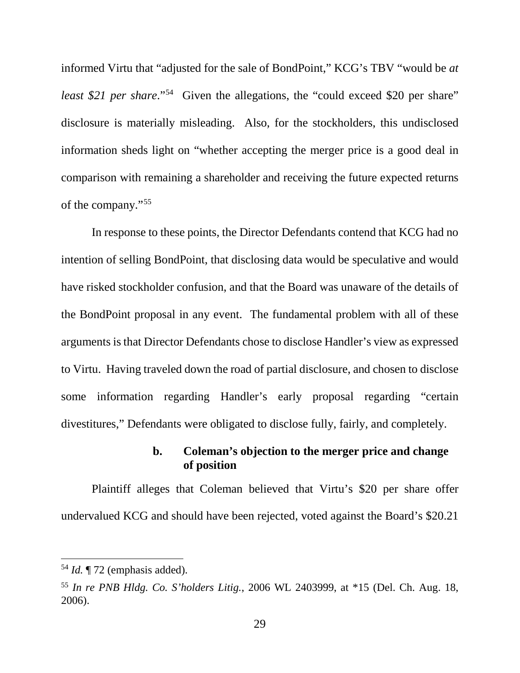informed Virtu that "adjusted for the sale of BondPoint," KCG's TBV "would be *at least \$21 per share.*"<sup>[54](#page-30-0)</sup> Given the allegations, the "could exceed \$20 per share" disclosure is materially misleading. Also, for the stockholders, this undisclosed information sheds light on "whether accepting the merger price is a good deal in comparison with remaining a shareholder and receiving the future expected returns of the company."[55](#page-30-1)

In response to these points, the Director Defendants contend that KCG had no intention of selling BondPoint, that disclosing data would be speculative and would have risked stockholder confusion, and that the Board was unaware of the details of the BondPoint proposal in any event. The fundamental problem with all of these arguments is that Director Defendants chose to disclose Handler's view as expressed to Virtu. Having traveled down the road of partial disclosure, and chosen to disclose some information regarding Handler's early proposal regarding "certain divestitures," Defendants were obligated to disclose fully, fairly, and completely.

## **b. Coleman's objection to the merger price and change of position**

Plaintiff alleges that Coleman believed that Virtu's \$20 per share offer undervalued KCG and should have been rejected, voted against the Board's \$20.21

<span id="page-30-0"></span> <sup>54</sup> *Id.* ¶ 72 (emphasis added).

<span id="page-30-1"></span><sup>55</sup> *In re PNB Hldg. Co. S'holders Litig.*, 2006 WL 2403999, at \*15 (Del. Ch. Aug. 18, 2006).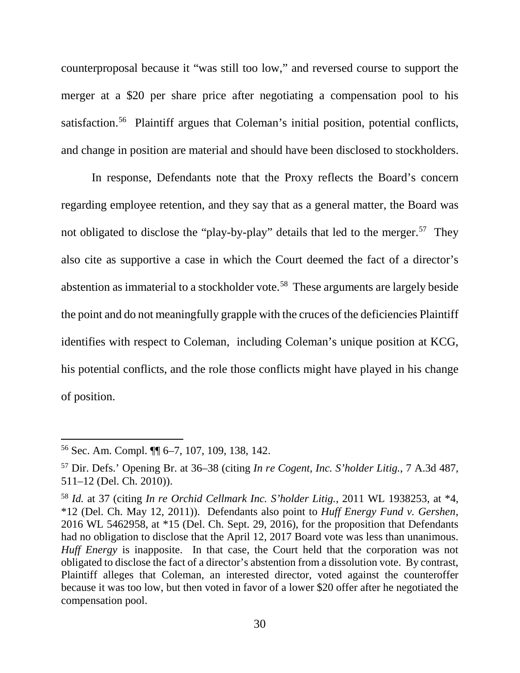counterproposal because it "was still too low," and reversed course to support the merger at a \$20 per share price after negotiating a compensation pool to his satisfaction.<sup>56</sup> Plaintiff argues that Coleman's initial position, potential conflicts, and change in position are material and should have been disclosed to stockholders.

In response, Defendants note that the Proxy reflects the Board's concern regarding employee retention, and they say that as a general matter, the Board was not obligated to disclose the "play-by-play" details that led to the merger.<sup>57</sup> They also cite as supportive a case in which the Court deemed the fact of a director's abstention as immaterial to a stockholder vote.[58](#page-31-2) These arguments are largely beside the point and do not meaningfully grapple with the cruces of the deficiencies Plaintiff identifies with respect to Coleman, including Coleman's unique position at KCG, his potential conflicts, and the role those conflicts might have played in his change of position.

<span id="page-31-0"></span> <sup>56</sup> Sec. Am. Compl. ¶¶ 6–7, 107, 109, 138, 142.

<span id="page-31-1"></span><sup>57</sup> Dir. Defs.' Opening Br. at 36–38 (citing *In re Cogent, Inc. S'holder Litig.*, 7 A.3d 487, 511–12 (Del. Ch. 2010)).

<span id="page-31-2"></span><sup>58</sup> *Id.* at 37 (citing *In re Orchid Cellmark Inc. S'holder Litig.*, 2011 WL 1938253, at \*4, \*12 (Del. Ch. May 12, 2011)). Defendants also point to *Huff Energy Fund v. Gershen*, 2016 WL 5462958, at \*15 (Del. Ch. Sept. 29, 2016), for the proposition that Defendants had no obligation to disclose that the April 12, 2017 Board vote was less than unanimous. *Huff Energy* is inapposite. In that case, the Court held that the corporation was not obligated to disclose the fact of a director's abstention from a dissolution vote. By contrast, Plaintiff alleges that Coleman, an interested director, voted against the counteroffer because it was too low, but then voted in favor of a lower \$20 offer after he negotiated the compensation pool.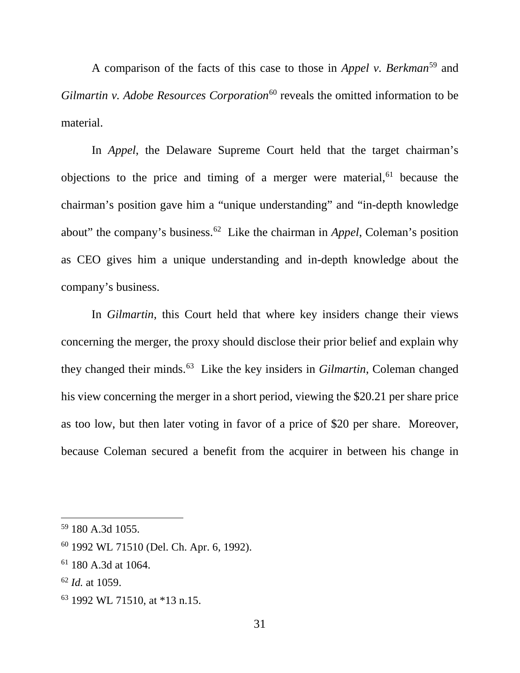A comparison of the facts of this case to those in *Appel v. Berkman*[59](#page-32-0) and *Gilmartin v. Adobe Resources Corporation*<sup>[60](#page-32-1)</sup> reveals the omitted information to be material.

In *Appel*, the Delaware Supreme Court held that the target chairman's objections to the price and timing of a merger were material, $61$  because the chairman's position gave him a "unique understanding" and "in-depth knowledge about" the company's business.[62](#page-32-3) Like the chairman in *Appel*, Coleman's position as CEO gives him a unique understanding and in-depth knowledge about the company's business.

In *Gilmartin*, this Court held that where key insiders change their views concerning the merger, the proxy should disclose their prior belief and explain why they changed their minds.[63](#page-32-4) Like the key insiders in *Gilmartin*, Coleman changed his view concerning the merger in a short period, viewing the \$20.21 per share price as too low, but then later voting in favor of a price of \$20 per share. Moreover, because Coleman secured a benefit from the acquirer in between his change in

<span id="page-32-0"></span> <sup>59</sup> 180 A.3d 1055.

<span id="page-32-1"></span><sup>60</sup> 1992 WL 71510 (Del. Ch. Apr. 6, 1992).

<span id="page-32-2"></span><sup>61</sup> 180 A.3d at 1064.

<span id="page-32-3"></span><sup>62</sup> *Id.* at 1059.

<span id="page-32-4"></span><sup>63</sup> 1992 WL 71510, at \*13 n.15.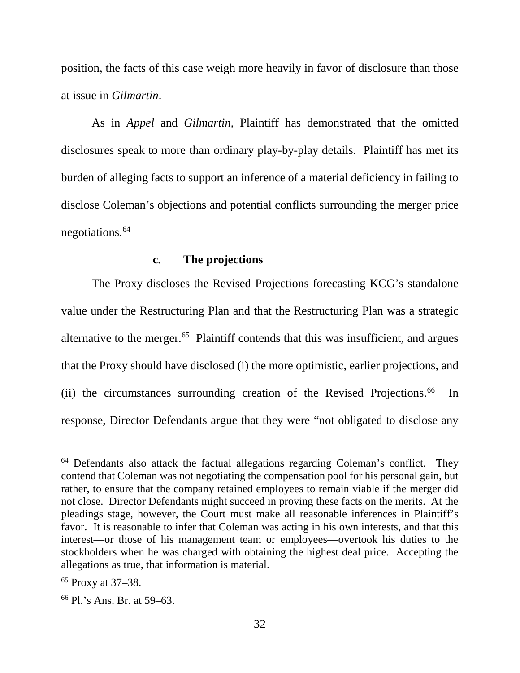position, the facts of this case weigh more heavily in favor of disclosure than those at issue in *Gilmartin*.

As in *Appel* and *Gilmartin*, Plaintiff has demonstrated that the omitted disclosures speak to more than ordinary play-by-play details. Plaintiff has met its burden of alleging facts to support an inference of a material deficiency in failing to disclose Coleman's objections and potential conflicts surrounding the merger price negotiations. [64](#page-33-0)

#### **c. The projections**

The Proxy discloses the Revised Projections forecasting KCG's standalone value under the Restructuring Plan and that the Restructuring Plan was a strategic alternative to the merger.<sup>[65](#page-33-1)</sup> Plaintiff contends that this was insufficient, and argues that the Proxy should have disclosed (i) the more optimistic, earlier projections, and (ii) the circumstances surrounding creation of the Revised Projections. $66$  In response, Director Defendants argue that they were "not obligated to disclose any

<span id="page-33-0"></span><sup>&</sup>lt;sup>64</sup> Defendants also attack the factual allegations regarding Coleman's conflict. They contend that Coleman was not negotiating the compensation pool for his personal gain, but rather, to ensure that the company retained employees to remain viable if the merger did not close. Director Defendants might succeed in proving these facts on the merits. At the pleadings stage, however, the Court must make all reasonable inferences in Plaintiff's favor. It is reasonable to infer that Coleman was acting in his own interests, and that this interest—or those of his management team or employees—overtook his duties to the stockholders when he was charged with obtaining the highest deal price. Accepting the allegations as true, that information is material.

<span id="page-33-1"></span><sup>65</sup> Proxy at 37–38.

<span id="page-33-2"></span><sup>66</sup> Pl.'s Ans. Br. at 59–63.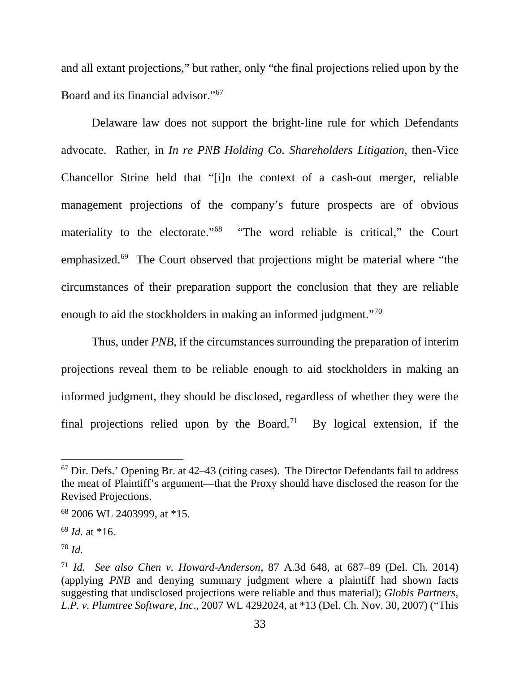and all extant projections," but rather, only "the final projections relied upon by the Board and its financial advisor."[67](#page-34-0)

Delaware law does not support the bright-line rule for which Defendants advocate. Rather, in *In re PNB Holding Co. Shareholders Litigation*, then-Vice Chancellor Strine held that "[i]n the context of a cash-out merger, reliable management projections of the company's future prospects are of obvious materiality to the electorate."<sup>[68](#page-34-1)</sup> "The word reliable is critical," the Court emphasized.[69](#page-34-2) The Court observed that projections might be material where "the circumstances of their preparation support the conclusion that they are reliable enough to aid the stockholders in making an informed judgment."<sup>[70](#page-34-3)</sup>

Thus, under *PNB*, if the circumstances surrounding the preparation of interim projections reveal them to be reliable enough to aid stockholders in making an informed judgment, they should be disclosed, regardless of whether they were the final projections relied upon by the Board.<sup>71</sup> By logical extension, if the

<span id="page-34-0"></span> $67$  Dir. Defs.' Opening Br. at  $42-43$  (citing cases). The Director Defendants fail to address the meat of Plaintiff's argument—that the Proxy should have disclosed the reason for the Revised Projections.

<span id="page-34-1"></span><sup>68</sup> 2006 WL 2403999, at \*15.

<span id="page-34-2"></span><sup>69</sup> *Id.* at \*16.

<span id="page-34-3"></span><sup>70</sup> *Id.*

<span id="page-34-4"></span><sup>71</sup> *Id. See also Chen v. Howard-Anderson*, 87 A.3d 648, at 687–89 (Del. Ch. 2014) (applying *PNB* and denying summary judgment where a plaintiff had shown facts suggesting that undisclosed projections were reliable and thus material); *Globis Partners, L.P. v. Plumtree Software, Inc*., 2007 WL 4292024, at \*13 (Del. Ch. Nov. 30, 2007) ("This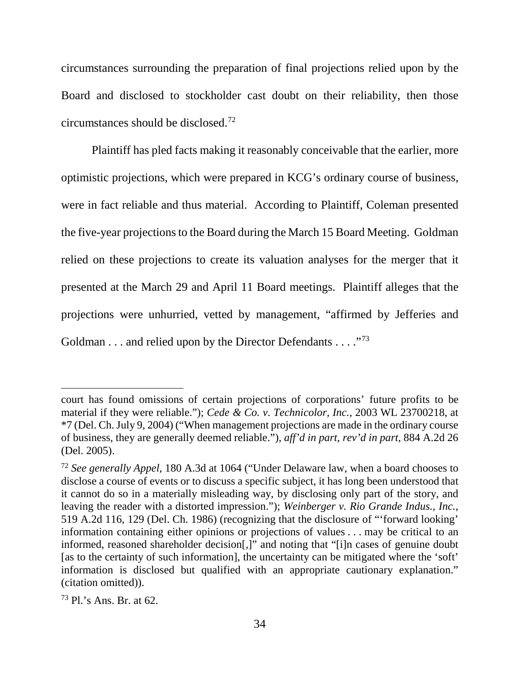circumstances surrounding the preparation of final projections relied upon by the Board and disclosed to stockholder cast doubt on their reliability, then those circumstances should be disclosed. [72](#page-35-0) 

Plaintiff has pled facts making it reasonably conceivable that the earlier, more optimistic projections, which were prepared in KCG's ordinary course of business, were in fact reliable and thus material. According to Plaintiff, Coleman presented the five-year projections to the Board during the March 15 Board Meeting. Goldman relied on these projections to create its valuation analyses for the merger that it presented at the March 29 and April 11 Board meetings. Plaintiff alleges that the projections were unhurried, vetted by management, "affirmed by Jefferies and Goldman . . . and relied upon by the Director Defendants . . . ."[73](#page-35-1)

 $\overline{a}$ 

court has found omissions of certain projections of corporations' future profits to be material if they were reliable."); *Cede & Co. v. Technicolor, Inc.*, 2003 WL 23700218, at \*7 (Del. Ch. July 9, 2004) ("When management projections are made in the ordinary course of business, they are generally deemed reliable."), *aff'd in part, rev'd in part*, 884 A.2d 26 (Del. 2005).

<span id="page-35-0"></span><sup>72</sup> *See generally Appel*, 180 A.3d at 1064 ("Under Delaware law, when a board chooses to disclose a course of events or to discuss a specific subject, it has long been understood that it cannot do so in a materially misleading way, by disclosing only part of the story, and leaving the reader with a distorted impression."); *Weinberger v. Rio Grande Indus., Inc.*, 519 A.2d 116, 129 (Del. Ch. 1986) (recognizing that the disclosure of "'forward looking' information containing either opinions or projections of values . . . may be critical to an informed, reasoned shareholder decision[,]" and noting that "[i]n cases of genuine doubt [as to the certainty of such information], the uncertainty can be mitigated where the 'soft' information is disclosed but qualified with an appropriate cautionary explanation." (citation omitted)).

<span id="page-35-1"></span><sup>73</sup> Pl.'s Ans. Br. at 62.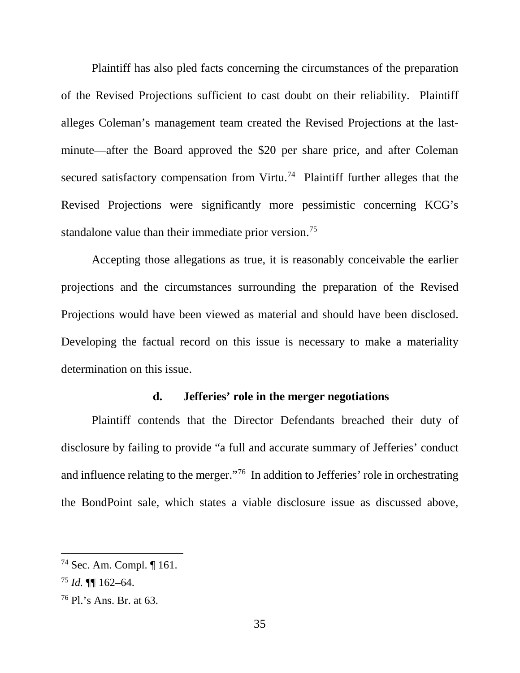Plaintiff has also pled facts concerning the circumstances of the preparation of the Revised Projections sufficient to cast doubt on their reliability. Plaintiff alleges Coleman's management team created the Revised Projections at the lastminute—after the Board approved the \$20 per share price, and after Coleman secured satisfactory compensation from Virtu.<sup>74</sup> Plaintiff further alleges that the Revised Projections were significantly more pessimistic concerning KCG's standalone value than their immediate prior version.<sup>[75](#page-36-1)</sup>

Accepting those allegations as true, it is reasonably conceivable the earlier projections and the circumstances surrounding the preparation of the Revised Projections would have been viewed as material and should have been disclosed. Developing the factual record on this issue is necessary to make a materiality determination on this issue.

## **d. Jefferies' role in the merger negotiations**

Plaintiff contends that the Director Defendants breached their duty of disclosure by failing to provide "a full and accurate summary of Jefferies' conduct and influence relating to the merger."<sup>[76](#page-36-2)</sup> In addition to Jefferies' role in orchestrating the BondPoint sale, which states a viable disclosure issue as discussed above,

<span id="page-36-0"></span> <sup>74</sup> Sec. Am. Compl. ¶ 161.

<span id="page-36-1"></span><sup>75</sup> *Id.* ¶¶ 162–64.

<span id="page-36-2"></span><sup>76</sup> Pl.'s Ans. Br. at 63.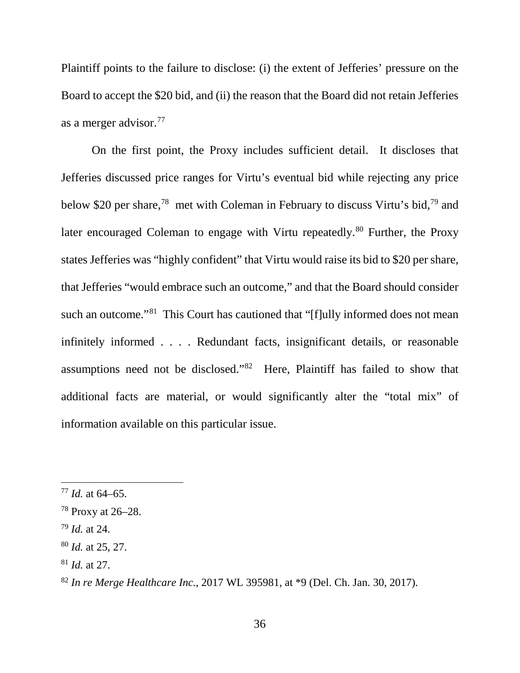Plaintiff points to the failure to disclose: (i) the extent of Jefferies' pressure on the Board to accept the \$20 bid, and (ii) the reason that the Board did not retain Jefferies as a merger advisor.[77](#page-37-0)

On the first point, the Proxy includes sufficient detail. It discloses that Jefferies discussed price ranges for Virtu's eventual bid while rejecting any price below \$20 per share,[78](#page-37-1) met with Coleman in February to discuss Virtu's bid,[79](#page-37-2) and later encouraged Coleman to engage with Virtu repeatedly.<sup>[80](#page-37-3)</sup> Further, the Proxy states Jefferies was "highly confident" that Virtu would raise its bid to \$20 per share, that Jefferies "would embrace such an outcome," and that the Board should consider such an outcome."<sup>[81](#page-37-4)</sup> This Court has cautioned that "[f]ully informed does not mean infinitely informed . . . . Redundant facts, insignificant details, or reasonable assumptions need not be disclosed."[82](#page-37-5) Here, Plaintiff has failed to show that additional facts are material, or would significantly alter the "total mix" of information available on this particular issue.

<span id="page-37-4"></span><sup>81</sup> *Id.* at 27.

<span id="page-37-0"></span> <sup>77</sup> *Id.* at 64–65.

<span id="page-37-1"></span><sup>78</sup> Proxy at 26–28.

<span id="page-37-2"></span><sup>79</sup> *Id.* at 24.

<span id="page-37-3"></span><sup>80</sup> *Id.* at 25, 27.

<span id="page-37-5"></span><sup>82</sup> *In re Merge Healthcare Inc.*, 2017 WL 395981, at \*9 (Del. Ch. Jan. 30, 2017).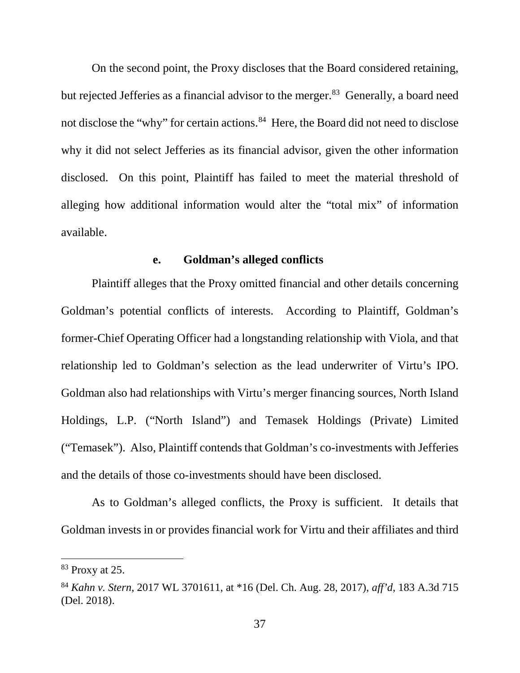On the second point, the Proxy discloses that the Board considered retaining, but rejected Jefferies as a financial advisor to the merger.<sup>[83](#page-38-0)</sup> Generally, a board need not disclose the "why" for certain actions.<sup>[84](#page-38-1)</sup> Here, the Board did not need to disclose why it did not select Jefferies as its financial advisor, given the other information disclosed. On this point, Plaintiff has failed to meet the material threshold of alleging how additional information would alter the "total mix" of information available.

### **e. Goldman's alleged conflicts**

Plaintiff alleges that the Proxy omitted financial and other details concerning Goldman's potential conflicts of interests. According to Plaintiff, Goldman's former-Chief Operating Officer had a longstanding relationship with Viola, and that relationship led to Goldman's selection as the lead underwriter of Virtu's IPO. Goldman also had relationships with Virtu's merger financing sources, North Island Holdings, L.P. ("North Island") and Temasek Holdings (Private) Limited ("Temasek"). Also, Plaintiff contends that Goldman's co-investments with Jefferies and the details of those co-investments should have been disclosed.

As to Goldman's alleged conflicts, the Proxy is sufficient. It details that Goldman invests in or provides financial work for Virtu and their affiliates and third

<span id="page-38-0"></span> <sup>83</sup> Proxy at 25.

<span id="page-38-1"></span><sup>84</sup> *Kahn v. Stern*, 2017 WL 3701611, at \*16 (Del. Ch. Aug. 28, 2017), *aff'd*, 183 A.3d 715 (Del. 2018).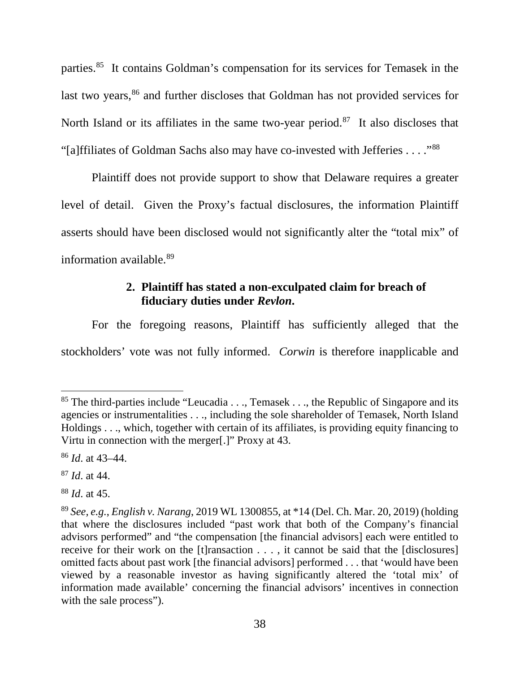parties.[85](#page-39-0) It contains Goldman's compensation for its services for Temasek in the last two years,<sup>[86](#page-39-1)</sup> and further discloses that Goldman has not provided services for North Island or its affiliates in the same two-year period.<sup>87</sup> It also discloses that "[a]ffiliates of Goldman Sachs also may have co-invested with Jefferies . . . ."[88](#page-39-3)

Plaintiff does not provide support to show that Delaware requires a greater level of detail. Given the Proxy's factual disclosures, the information Plaintiff asserts should have been disclosed would not significantly alter the "total mix" of information available.[89](#page-39-4)

# **2. Plaintiff has stated a non-exculpated claim for breach of fiduciary duties under** *Revlon***.**

For the foregoing reasons, Plaintiff has sufficiently alleged that the stockholders' vote was not fully informed. *Corwin* is therefore inapplicable and

<span id="page-39-0"></span><sup>&</sup>lt;sup>85</sup> The third-parties include "Leucadia . . ., Temasek . . ., the Republic of Singapore and its agencies or instrumentalities . . ., including the sole shareholder of Temasek, North Island Holdings . . ., which, together with certain of its affiliates, is providing equity financing to Virtu in connection with the merger[.]" Proxy at 43.

<span id="page-39-1"></span><sup>86</sup> *Id*. at 43–44.

<span id="page-39-2"></span><sup>87</sup> *Id*. at 44.

<span id="page-39-3"></span><sup>88</sup> *Id*. at 45.

<span id="page-39-4"></span><sup>89</sup> *See, e.g.*, *English v. Narang*, 2019 WL 1300855, at \*14 (Del. Ch. Mar. 20, 2019) (holding that where the disclosures included "past work that both of the Company's financial advisors performed" and "the compensation [the financial advisors] each were entitled to receive for their work on the [t]ransaction . . . , it cannot be said that the [disclosures] omitted facts about past work [the financial advisors] performed . . . that 'would have been viewed by a reasonable investor as having significantly altered the 'total mix' of information made available' concerning the financial advisors' incentives in connection with the sale process").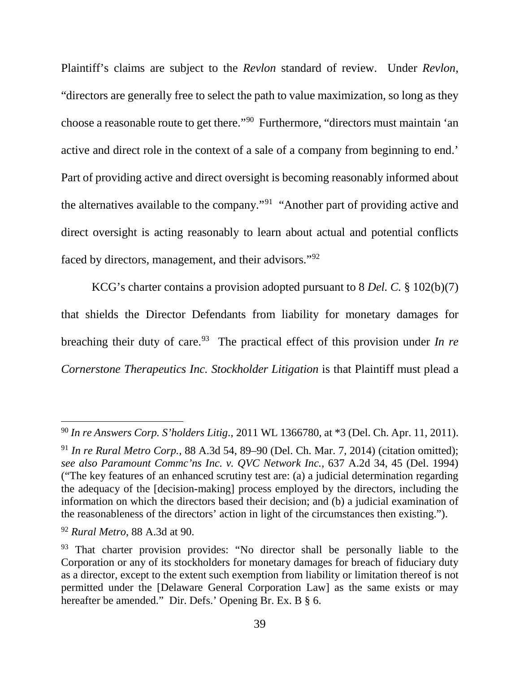Plaintiff's claims are subject to the *Revlon* standard of review. Under *Revlon*, "directors are generally free to select the path to value maximization, so long as they choose a reasonable route to get there."[90](#page-40-0) Furthermore, "directors must maintain 'an active and direct role in the context of a sale of a company from beginning to end.' Part of providing active and direct oversight is becoming reasonably informed about the alternatives available to the company."[91](#page-40-1) "Another part of providing active and direct oversight is acting reasonably to learn about actual and potential conflicts faced by directors, management, and their advisors."[92](#page-40-2)

KCG's charter contains a provision adopted pursuant to 8 *Del. C.* § 102(b)(7) that shields the Director Defendants from liability for monetary damages for breaching their duty of care.<sup>93</sup> The practical effect of this provision under *In re Cornerstone Therapeutics Inc. Stockholder Litigation* is that Plaintiff must plead a

<span id="page-40-0"></span> <sup>90</sup> *In re Answers Corp. S'holders Litig*., 2011 WL 1366780, at \*3 (Del. Ch. Apr. 11, 2011).

<span id="page-40-1"></span><sup>91</sup> *In re Rural Metro Corp.*, 88 A.3d 54, 89–90 (Del. Ch. Mar. 7, 2014) (citation omitted); *see also Paramount Commc'ns Inc. v. QVC Network Inc.*, 637 A.2d 34, 45 (Del. 1994) ("The key features of an enhanced scrutiny test are: (a) a judicial determination regarding the adequacy of the [decision-making] process employed by the directors, including the information on which the directors based their decision; and (b) a judicial examination of the reasonableness of the directors' action in light of the circumstances then existing.").

<span id="page-40-2"></span><sup>92</sup> *Rural Metro*, 88 A.3d at 90.

<span id="page-40-3"></span><sup>&</sup>lt;sup>93</sup> That charter provision provides: "No director shall be personally liable to the Corporation or any of its stockholders for monetary damages for breach of fiduciary duty as a director, except to the extent such exemption from liability or limitation thereof is not permitted under the [Delaware General Corporation Law] as the same exists or may hereafter be amended." Dir. Defs.' Opening Br. Ex. B § 6.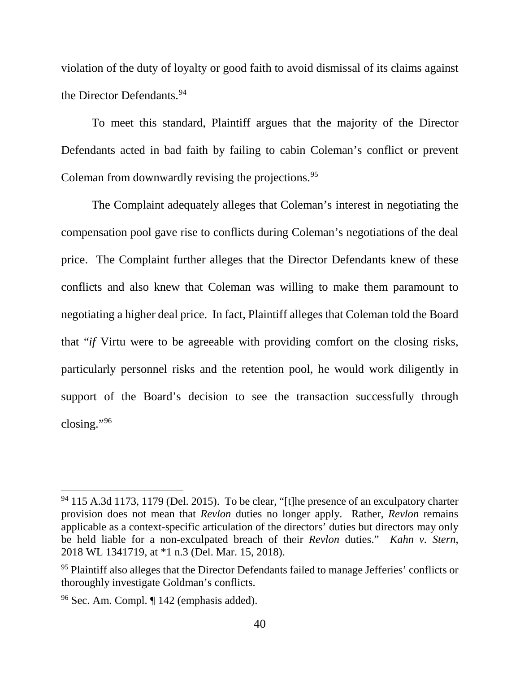violation of the duty of loyalty or good faith to avoid dismissal of its claims against the Director Defendants. [94](#page-41-0) 

To meet this standard, Plaintiff argues that the majority of the Director Defendants acted in bad faith by failing to cabin Coleman's conflict or prevent Coleman from downwardly revising the projections. [95](#page-41-1)

The Complaint adequately alleges that Coleman's interest in negotiating the compensation pool gave rise to conflicts during Coleman's negotiations of the deal price. The Complaint further alleges that the Director Defendants knew of these conflicts and also knew that Coleman was willing to make them paramount to negotiating a higher deal price. In fact, Plaintiff alleges that Coleman told the Board that "*if* Virtu were to be agreeable with providing comfort on the closing risks, particularly personnel risks and the retention pool, he would work diligently in support of the Board's decision to see the transaction successfully through closing."[96](#page-41-2) 

<span id="page-41-0"></span> $94$  115 A.3d 1173, 1179 (Del. 2015). To be clear, "[t] he presence of an exculpatory charter provision does not mean that *Revlon* duties no longer apply. Rather, *Revlon* remains applicable as a context-specific articulation of the directors' duties but directors may only be held liable for a non-exculpated breach of their *Revlon* duties." *Kahn v. Stern*, 2018 WL 1341719, at \*1 n.3 (Del. Mar. 15, 2018).

<span id="page-41-1"></span><sup>&</sup>lt;sup>95</sup> Plaintiff also alleges that the Director Defendants failed to manage Jefferies' conflicts or thoroughly investigate Goldman's conflicts.

<span id="page-41-2"></span><sup>96</sup> Sec. Am. Compl. ¶ 142 (emphasis added).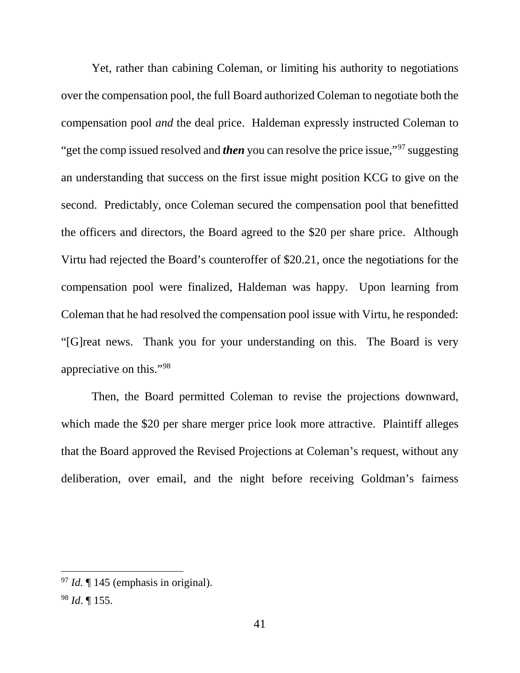Yet, rather than cabining Coleman, or limiting his authority to negotiations over the compensation pool, the full Board authorized Coleman to negotiate both the compensation pool *and* the deal price. Haldeman expressly instructed Coleman to "get the comp issued resolved and *then* you can resolve the price issue,"<sup>97</sup> suggesting" an understanding that success on the first issue might position KCG to give on the second. Predictably, once Coleman secured the compensation pool that benefitted the officers and directors, the Board agreed to the \$20 per share price. Although Virtu had rejected the Board's counteroffer of \$20.21, once the negotiations for the compensation pool were finalized, Haldeman was happy. Upon learning from Coleman that he had resolved the compensation pool issue with Virtu, he responded: "[G]reat news. Thank you for your understanding on this. The Board is very appreciative on this."[98](#page-42-1)

Then, the Board permitted Coleman to revise the projections downward, which made the \$20 per share merger price look more attractive. Plaintiff alleges that the Board approved the Revised Projections at Coleman's request, without any deliberation, over email, and the night before receiving Goldman's fairness

<span id="page-42-0"></span> <sup>97</sup> *Id.* ¶ 145 (emphasis in original).

<span id="page-42-1"></span><sup>98</sup> *Id*. ¶ 155.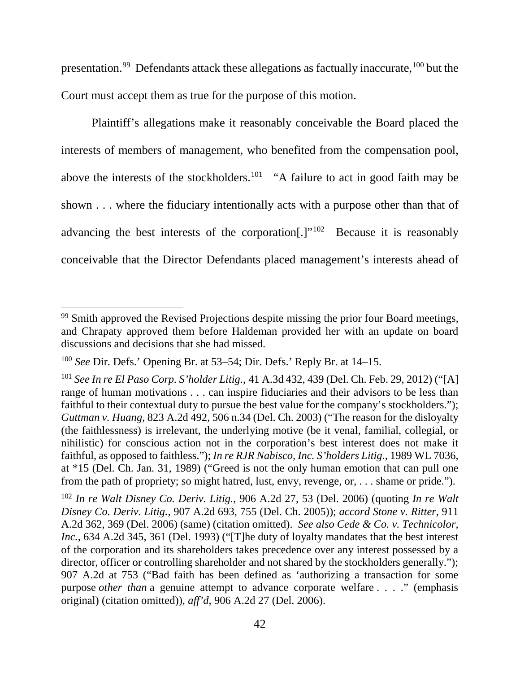presentation.<sup>99</sup> Defendants attack these allegations as factually inaccurate, <sup>[100](#page-43-1)</sup> but the Court must accept them as true for the purpose of this motion.

Plaintiff's allegations make it reasonably conceivable the Board placed the interests of members of management, who benefited from the compensation pool, above the interests of the stockholders.<sup>[101](#page-43-2)</sup> "A failure to act in good faith may be shown . . . where the fiduciary intentionally acts with a purpose other than that of advancing the best interests of the corporation[.]"<sup>[102](#page-43-3)</sup> Because it is reasonably conceivable that the Director Defendants placed management's interests ahead of

<span id="page-43-0"></span><sup>&</sup>lt;sup>99</sup> Smith approved the Revised Projections despite missing the prior four Board meetings, and Chrapaty approved them before Haldeman provided her with an update on board discussions and decisions that she had missed.

<span id="page-43-1"></span><sup>100</sup> *See* Dir. Defs.' Opening Br. at 53–54; Dir. Defs.' Reply Br. at 14–15.

<span id="page-43-2"></span><sup>101</sup> *See In re El Paso Corp. S'holder Litig.*, 41 A.3d 432, 439 (Del. Ch. Feb. 29, 2012) ("[A] range of human motivations . . . can inspire fiduciaries and their advisors to be less than faithful to their contextual duty to pursue the best value for the company's stockholders."); *Guttman v. Huang*, 823 A.2d 492, 506 n.34 (Del. Ch. 2003) ("The reason for the disloyalty (the faithlessness) is irrelevant, the underlying motive (be it venal, familial, collegial, or nihilistic) for conscious action not in the corporation's best interest does not make it faithful, as opposed to faithless."); *In re RJR Nabisco, Inc. S'holders Litig.*, 1989 WL 7036, at \*15 (Del. Ch. Jan. 31, 1989) ("Greed is not the only human emotion that can pull one from the path of propriety; so might hatred, lust, envy, revenge, or, . . . shame or pride.").

<span id="page-43-3"></span><sup>102</sup> *In re Walt Disney Co. Deriv. Litig.*, 906 A.2d 27, 53 (Del. 2006) (quoting *In re Walt Disney Co. Deriv. Litig.*, 907 A.2d 693, 755 (Del. Ch. 2005)); *accord Stone v. Ritter*, 911 A.2d 362, 369 (Del. 2006) (same) (citation omitted). *See also Cede & Co. v. Technicolor, Inc.*, 634 A.2d 345, 361 (Del. 1993) ("[T]he duty of loyalty mandates that the best interest of the corporation and its shareholders takes precedence over any interest possessed by a director, officer or controlling shareholder and not shared by the stockholders generally."); 907 A.2d at 753 ("Bad faith has been defined as 'authorizing a transaction for some purpose *other than* a genuine attempt to advance corporate welfare . . . ." (emphasis original) (citation omitted)), *aff'd*, 906 A.2d 27 (Del. 2006).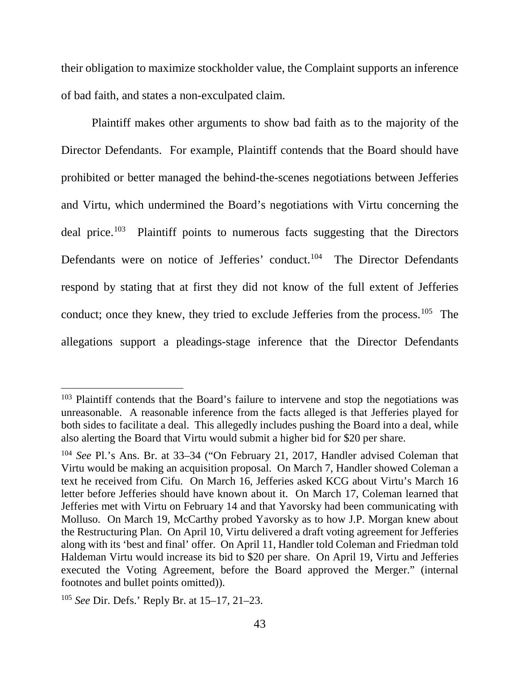their obligation to maximize stockholder value, the Complaint supports an inference of bad faith, and states a non-exculpated claim.

Plaintiff makes other arguments to show bad faith as to the majority of the Director Defendants. For example, Plaintiff contends that the Board should have prohibited or better managed the behind-the-scenes negotiations between Jefferies and Virtu, which undermined the Board's negotiations with Virtu concerning the deal price. [103](#page-44-0) Plaintiff points to numerous facts suggesting that the Directors Defendants were on notice of Jefferies' conduct.<sup>104</sup> The Director Defendants respond by stating that at first they did not know of the full extent of Jefferies conduct; once they knew, they tried to exclude Jefferies from the process.<sup>105</sup> The allegations support a pleadings-stage inference that the Director Defendants

<span id="page-44-0"></span><sup>&</sup>lt;sup>103</sup> Plaintiff contends that the Board's failure to intervene and stop the negotiations was unreasonable. A reasonable inference from the facts alleged is that Jefferies played for both sides to facilitate a deal. This allegedly includes pushing the Board into a deal, while also alerting the Board that Virtu would submit a higher bid for \$20 per share.

<span id="page-44-1"></span><sup>104</sup> *See* Pl.'s Ans. Br. at 33–34 ("On February 21, 2017, Handler advised Coleman that Virtu would be making an acquisition proposal. On March 7, Handler showed Coleman a text he received from Cifu. On March 16, Jefferies asked KCG about Virtu's March 16 letter before Jefferies should have known about it. On March 17, Coleman learned that Jefferies met with Virtu on February 14 and that Yavorsky had been communicating with Molluso. On March 19, McCarthy probed Yavorsky as to how J.P. Morgan knew about the Restructuring Plan. On April 10, Virtu delivered a draft voting agreement for Jefferies along with its 'best and final' offer. On April 11, Handler told Coleman and Friedman told Haldeman Virtu would increase its bid to \$20 per share. On April 19, Virtu and Jefferies executed the Voting Agreement, before the Board approved the Merger." (internal footnotes and bullet points omitted)).

<span id="page-44-2"></span><sup>105</sup> *See* Dir. Defs.' Reply Br. at 15–17, 21–23.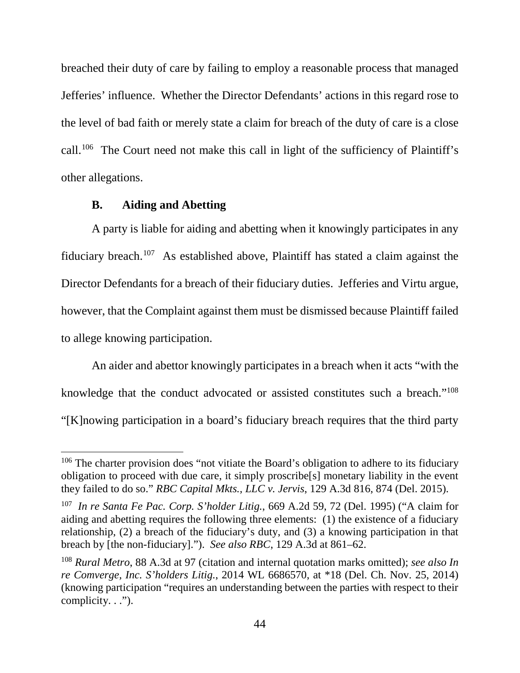breached their duty of care by failing to employ a reasonable process that managed Jefferies' influence. Whether the Director Defendants' actions in this regard rose to the level of bad faith or merely state a claim for breach of the duty of care is a close call.[106](#page-45-0) The Court need not make this call in light of the sufficiency of Plaintiff's other allegations.

#### **B. Aiding and Abetting**

A party is liable for aiding and abetting when it knowingly participates in any fiduciary breach.<sup>[107](#page-45-1)</sup> As established above, Plaintiff has stated a claim against the Director Defendants for a breach of their fiduciary duties. Jefferies and Virtu argue, however, that the Complaint against them must be dismissed because Plaintiff failed to allege knowing participation.

An aider and abettor knowingly participates in a breach when it acts "with the knowledge that the conduct advocated or assisted constitutes such a breach.["108](#page-45-2) "[K]nowing participation in a board's fiduciary breach requires that the third party

<span id="page-45-0"></span><sup>&</sup>lt;sup>106</sup> The charter provision does "not vitiate the Board's obligation to adhere to its fiduciary obligation to proceed with due care, it simply proscribe[s] monetary liability in the event they failed to do so." *RBC Capital Mkts., LLC v. Jervis*, 129 A.3d 816, 874 (Del. 2015).

<span id="page-45-1"></span><sup>107</sup> *In re Santa Fe Pac. Corp. S'holder Litig.*, 669 A.2d 59, 72 (Del. 1995) ("A claim for aiding and abetting requires the following three elements: (1) the existence of a fiduciary relationship, (2) a breach of the fiduciary's duty, and (3) a knowing participation in that breach by [the non-fiduciary]."). *See also RBC*, 129 A.3d at 861–62.

<span id="page-45-2"></span><sup>108</sup> *Rural Metro*, 88 A.3d at 97 (citation and internal quotation marks omitted); *see also In re Comverge, Inc. S'holders Litig.*, 2014 WL 6686570, at \*18 (Del. Ch. Nov. 25, 2014) (knowing participation "requires an understanding between the parties with respect to their complicity. . .").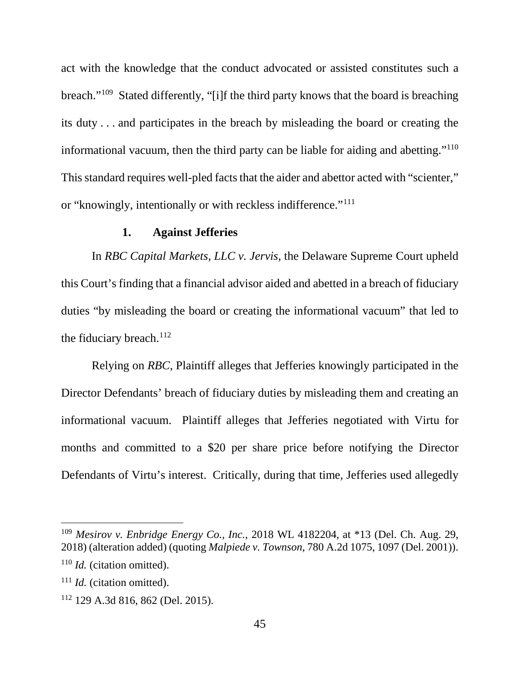act with the knowledge that the conduct advocated or assisted constitutes such a breach."[109](#page-46-0) Stated differently, "[i]f the third party knows that the board is breaching its duty . . . and participates in the breach by misleading the board or creating the informational vacuum, then the third party can be liable for aiding and abetting.["110](#page-46-1) This standard requires well-pled facts that the aider and abettor acted with "scienter," or "knowingly, intentionally or with reckless indifference."[111](#page-46-2)

## **1. Against Jefferies**

In *RBC Capital Markets, LLC v. Jervis*, the Delaware Supreme Court upheld this Court's finding that a financial advisor aided and abetted in a breach of fiduciary duties "by misleading the board or creating the informational vacuum" that led to the fiduciary breach. $112$ 

Relying on *RBC*, Plaintiff alleges that Jefferies knowingly participated in the Director Defendants' breach of fiduciary duties by misleading them and creating an informational vacuum. Plaintiff alleges that Jefferies negotiated with Virtu for months and committed to a \$20 per share price before notifying the Director Defendants of Virtu's interest. Critically, during that time, Jefferies used allegedly

<span id="page-46-0"></span> <sup>109</sup> *Mesirov v. Enbridge Energy Co., Inc.*, 2018 WL 4182204, at \*13 (Del. Ch. Aug. 29, 2018) (alteration added) (quoting *Malpiede v. Townson*, 780 A.2d 1075, 1097 (Del. 2001)).

<span id="page-46-1"></span><sup>110</sup> *Id.* (citation omitted).

<span id="page-46-2"></span><sup>111</sup> *Id.* (citation omitted).

<span id="page-46-3"></span><sup>112</sup> 129 A.3d 816, 862 (Del. 2015).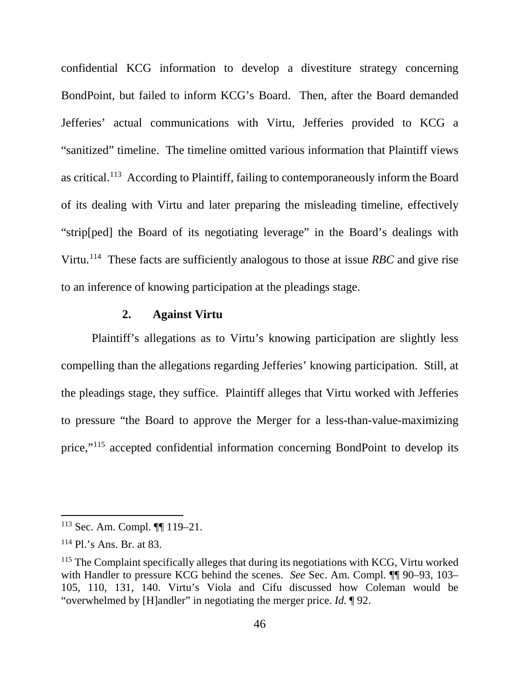confidential KCG information to develop a divestiture strategy concerning BondPoint, but failed to inform KCG's Board. Then, after the Board demanded Jefferies' actual communications with Virtu, Jefferies provided to KCG a "sanitized" timeline. The timeline omitted various information that Plaintiff views as critical.[113](#page-47-0) According to Plaintiff, failing to contemporaneously inform the Board of its dealing with Virtu and later preparing the misleading timeline, effectively "strip[ped] the Board of its negotiating leverage" in the Board's dealings with Virtu.[114](#page-47-1) These facts are sufficiently analogous to those at issue *RBC* and give rise to an inference of knowing participation at the pleadings stage.

## **2. Against Virtu**

Plaintiff's allegations as to Virtu's knowing participation are slightly less compelling than the allegations regarding Jefferies' knowing participation. Still, at the pleadings stage, they suffice. Plaintiff alleges that Virtu worked with Jefferies to pressure "the Board to approve the Merger for a less-than-value-maximizing price,"[115](#page-47-2) accepted confidential information concerning BondPoint to develop its

<span id="page-47-0"></span> <sup>113</sup> Sec. Am. Compl. ¶¶ 119–21.

<span id="page-47-1"></span><sup>114</sup> Pl.'s Ans. Br. at 83.

<span id="page-47-2"></span><sup>&</sup>lt;sup>115</sup> The Complaint specifically alleges that during its negotiations with KCG, Virtu worked with Handler to pressure KCG behind the scenes. *See* Sec. Am. Compl. ¶¶ 90–93, 103– 105, 110, 131, 140. Virtu's Viola and Cifu discussed how Coleman would be "overwhelmed by [H]andler" in negotiating the merger price. *Id.* ¶ 92.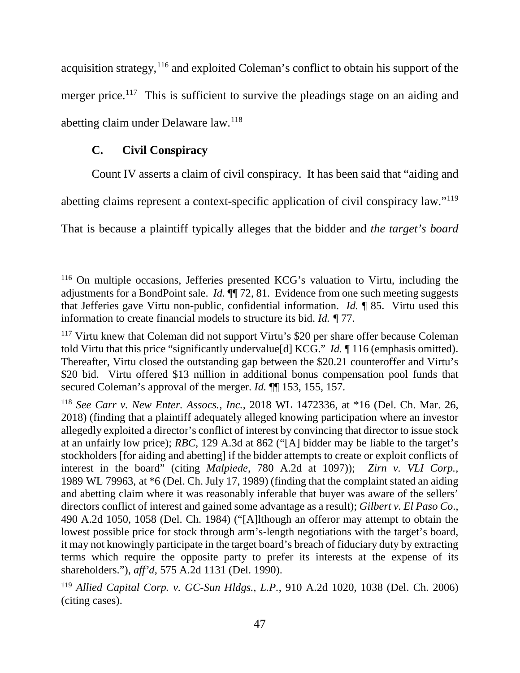acquisition strategy,<sup>[116](#page-48-0)</sup> and exploited Coleman's conflict to obtain his support of the merger price.<sup>[117](#page-48-1)</sup> This is sufficient to survive the pleadings stage on an aiding and abetting claim under Delaware law.[118](#page-48-2)

# **C. Civil Conspiracy**

Count IV asserts a claim of civil conspiracy. It has been said that "aiding and

abetting claims represent a context-specific application of civil conspiracy law."[119](#page-48-3)

That is because a plaintiff typically alleges that the bidder and *the target's board*

<span id="page-48-0"></span> <sup>116</sup> On multiple occasions, Jefferies presented KCG's valuation to Virtu, including the adjustments for a BondPoint sale. *Id.* ¶¶ 72, 81. Evidence from one such meeting suggests that Jefferies gave Virtu non-public, confidential information. *Id.* ¶ 85. Virtu used this information to create financial models to structure its bid. *Id. ¶* 77.

<span id="page-48-1"></span><sup>&</sup>lt;sup>117</sup> Virtu knew that Coleman did not support Virtu's \$20 per share offer because Coleman told Virtu that this price "significantly undervalue[d] KCG." *Id.* ¶ 116 (emphasis omitted). Thereafter, Virtu closed the outstanding gap between the \$20.21 counteroffer and Virtu's \$20 bid. Virtu offered \$13 million in additional bonus compensation pool funds that secured Coleman's approval of the merger. *Id.* ¶¶ 153, 155, 157.

<span id="page-48-2"></span><sup>118</sup> *See Carr v. New Enter. Assocs., Inc.*, 2018 WL 1472336, at \*16 (Del. Ch. Mar. 26, 2018) (finding that a plaintiff adequately alleged knowing participation where an investor allegedly exploited a director's conflict of interest by convincing that director to issue stock at an unfairly low price); *RBC*, 129 A.3d at 862 ("[A] bidder may be liable to the target's stockholders [for aiding and abetting] if the bidder attempts to create or exploit conflicts of interest in the board" (citing *Malpiede*, 780 A.2d at 1097)); *Zirn v. VLI Corp.,* 1989 WL 79963, at \*6 (Del. Ch. July 17, 1989) (finding that the complaint stated an aiding and abetting claim where it was reasonably inferable that buyer was aware of the sellers' directors conflict of interest and gained some advantage as a result); *Gilbert v. El Paso Co*., 490 A.2d 1050, 1058 (Del. Ch. 1984) ("[A]lthough an offeror may attempt to obtain the lowest possible price for stock through arm's-length negotiations with the target's board, it may not knowingly participate in the target board's breach of fiduciary duty by extracting terms which require the opposite party to prefer its interests at the expense of its shareholders."), *aff'd*, 575 A.2d 1131 (Del. 1990).

<span id="page-48-3"></span><sup>119</sup> *Allied Capital Corp. v. GC-Sun Hldgs., L.P.*, 910 A.2d 1020, 1038 (Del. Ch. 2006) (citing cases).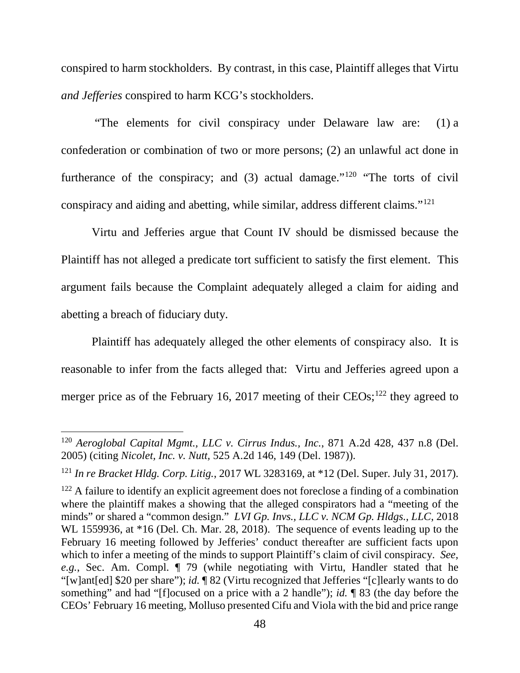conspired to harm stockholders. By contrast, in this case, Plaintiff alleges that Virtu *and Jefferies* conspired to harm KCG's stockholders.

"The elements for civil conspiracy under Delaware law are: (1) a confederation or combination of two or more persons; (2) an unlawful act done in furtherance of the conspiracy; and  $(3)$  actual damage."<sup>[120](#page-49-0)</sup> "The torts of civil conspiracy and aiding and abetting, while similar, address different claims."[121](#page-49-1)

Virtu and Jefferies argue that Count IV should be dismissed because the Plaintiff has not alleged a predicate tort sufficient to satisfy the first element. This argument fails because the Complaint adequately alleged a claim for aiding and abetting a breach of fiduciary duty.

Plaintiff has adequately alleged the other elements of conspiracy also. It is reasonable to infer from the facts alleged that: Virtu and Jefferies agreed upon a merger price as of the February 16, 2017 meeting of their  $CEOs$ ;<sup>[122](#page-49-2)</sup> they agreed to

<span id="page-49-0"></span> <sup>120</sup> *Aeroglobal Capital Mgmt., LLC v. Cirrus Indus., Inc.*, 871 A.2d 428, 437 n.8 (Del. 2005) (citing *Nicolet, Inc. v. Nutt,* 525 A.2d 146, 149 (Del. 1987)).

<span id="page-49-1"></span><sup>121</sup> *In re Bracket Hldg. Corp. Litig.*, 2017 WL 3283169, at \*12 (Del. Super. July 31, 2017).

<span id="page-49-2"></span> $122$  A failure to identify an explicit agreement does not foreclose a finding of a combination where the plaintiff makes a showing that the alleged conspirators had a "meeting of the minds" or shared a "common design." *LVI Gp. Invs., LLC v. NCM Gp. Hldgs., LLC*, 2018 WL 1559936, at \*16 (Del. Ch. Mar. 28, 2018). The sequence of events leading up to the February 16 meeting followed by Jefferies' conduct thereafter are sufficient facts upon which to infer a meeting of the minds to support Plaintiff's claim of civil conspiracy. *See, e.g.*, Sec. Am. Compl. ¶ 79 (while negotiating with Virtu, Handler stated that he "[w]ant[ed] \$20 per share"); *id.* ¶ 82 (Virtu recognized that Jefferies "[c]learly wants to do something" and had "[f]ocused on a price with a 2 handle"); *id.* ¶ 83 (the day before the CEOs' February 16 meeting, Molluso presented Cifu and Viola with the bid and price range